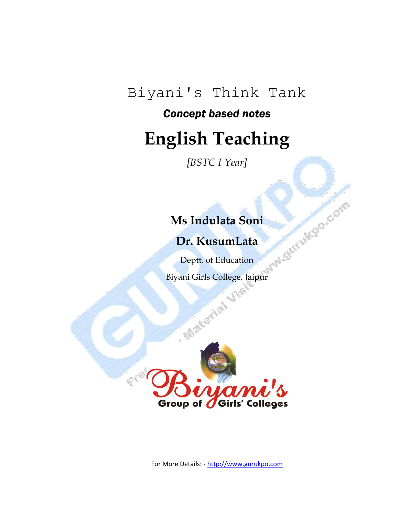## Biyani's Think Tank

## *Concept based notes*

# **English Teaching**

*[BSTC I Year]*

#### **Ms Indulata Soni**

## **Dr. KusumLata**

Deptt. of Education Biyani Girls College, Jaipur



For More Details: - http://www.gurukpo.com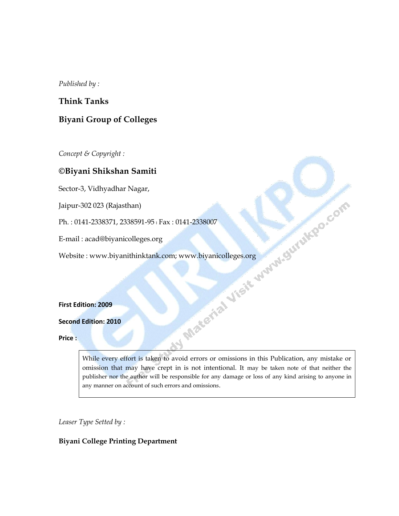*Published by :*

#### **Think Tanks**

#### **Biyani Group of Colleges**

*Concept & Copyright :*

#### **©Biyani Shikshan Samiti**

Sector-3, Vidhyadhar Nagar,

Jaipur-302 023 (Rajasthan)

E-mail : acad@biyanicolleges.org

Website : www.biyanithinktank.com; www.biyanicolleges.org

#### **First Edition: 2009**

#### **Second Edition: 2010**

**Price :**

Ph. : 0141-2338371, 2338591-95 l Fax : 0141-2338007<br>
E-mail : acad@biyanicolleges.org<br>
Website : www.biyanithinktank.com; www.biyanicolleges.org<br>
First Edition: 2009<br>
Second Edition: 2010<br>
Price : While every effort is taken to avoid errors or omissions in this Publication, any mistake or omission that may have crept in is not intentional. It may be taken note of that neither the publisher nor the author will be responsible for any damage or loss of any kind arising to anyone in any manner on account of such errors and omissions.

*Leaser Type Setted by :*

#### **Biyani College Printing Department**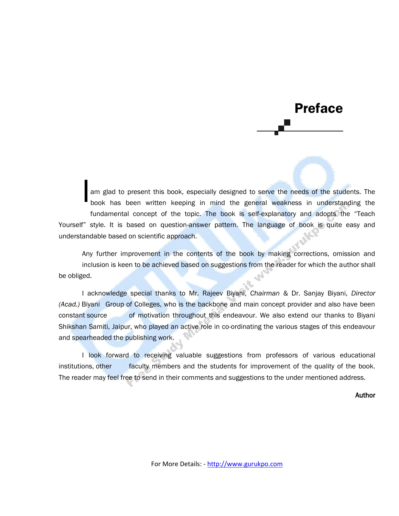Preface

Iam glad to present this book, especially designed to serve the needs of the students. The book has been written keeping in mind the general weakness in understanding the fundamental concept of the topic. The book is self-explanatory and adopts the "Teach Yourself" style. It is based on question-answer pattern. The language of book is quite easy and **May** understandable based on scientific approach.

Any further improvement in the contents of the book by making corrections, omission and inclusion is keen to be achieved based on suggestions from the reader for which the author shall be obliged.

I acknowledge special thanks to Mr. Rajeev Biyani, *Chairman* & Dr. Sanjay Biyani, *Director (Acad.)* Biyani Group of Colleges, who is the backbone and main concept provider and also have been constant source of motivation throughout this endeavour. We also extend our thanks to Biyani Shikshan Samiti, Jaipur, who played an active role in co-ordinating the various stages of this endeavour and spearheaded the publishing work.

I look forward to receiving valuable suggestions from professors of various educational institutions, other faculty members and the students for improvement of the quality of the book. The reader may feel free to send in their comments and suggestions to the under mentioned address.

Author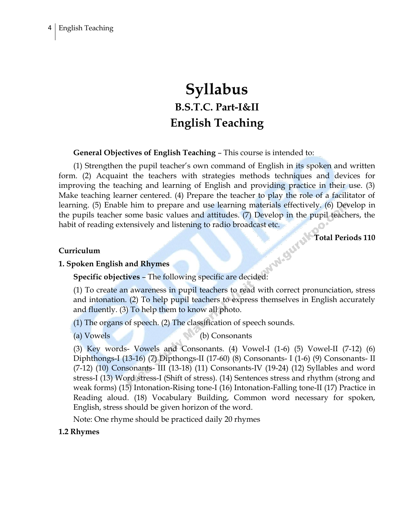## **Syllabus B.S.T.C. Part-I&II English Teaching**

#### **General Objectives of English Teaching** – This course is intended to:

(1) Strengthen the pupil teacher"s own command of English in its spoken and written form. (2) Acquaint the teachers with strategies methods techniques and devices for improving the teaching and learning of English and providing practice in their use. (3) Make teaching learner centered. (4) Prepare the teacher to play the role of a facilitator of learning. (5) Enable him to prepare and use learning materials effectively. (6) Develop in the pupils teacher some basic values and attitudes. (7) Develop in the pupil teachers, the habit of reading extensively and listening to radio broadcast etc.<br>
Curriculum<br>
1. Spoken English and Rhymes<br>
Sposifi

**Total Periods 110**

#### **Curriculum**

#### **1. Spoken English and Rhymes**

**Specific objectives** – The following specific are decided:

(1) To create an awareness in pupil teachers to read with correct pronunciation, stress and intonation. (2) To help pupil teachers to express themselves in English accurately and fluently. (3) To help them to know all photo.

- (1) The organs of speech. (2) The classification of speech sounds.
- 

(a) Vowels (b) Consonants

(3) Key words- Vowels and Consonants. (4) Vowel-I (1-6) (5) Vowel-II (7-12) (6) Diphthongs-I (13-16) (7) Dipthongs-II (17-60) (8) Consonants- I (1-6) (9) Consonants- II (7-12) (10) Consonants- III (13-18) (11) Consonants-IV (19-24) (12) Syllables and word stress-I (13) Word stress-I (Shift of stress). (14) Sentences stress and rhythm (strong and weak forms) (15) Intonation-Rising tone-I (16) Intonation-Falling tone-II (17) Practice in Reading aloud. (18) Vocabulary Building, Common word necessary for spoken, English, stress should be given horizon of the word.

Note: One rhyme should be practiced daily 20 rhymes

#### **1.2 Rhymes**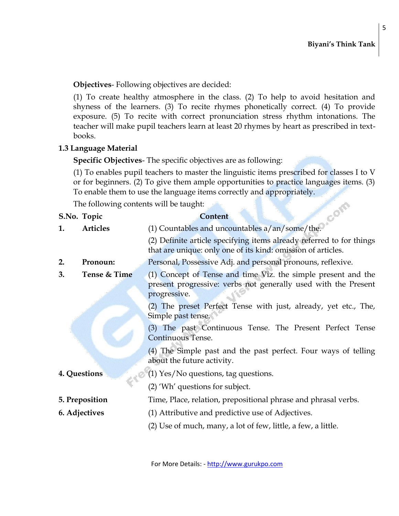5

**Objectives**- Following objectives are decided:

(1) To create healthy atmosphere in the class. (2) To help to avoid hesitation and shyness of the learners. (3) To recite rhymes phonetically correct. (4) To provide exposure. (5) To recite with correct pronunciation stress rhythm intonations. The teacher will make pupil teachers learn at least 20 rhymes by heart as prescribed in textbooks.

#### **1.3 Language Material**

**Specific Objectives**- The specific objectives are as following:

(1) To enables pupil teachers to master the linguistic items prescribed for classes I to V or for beginners. (2) To give them ample opportunities to practice languages items. (3) To enable them to use the language items correctly and appropriately.

|              | The following contents will be taught:                                        |                                                                                                                                                 |  |  |  |
|--------------|-------------------------------------------------------------------------------|-------------------------------------------------------------------------------------------------------------------------------------------------|--|--|--|
|              | S.No. Topic                                                                   | <b>Content</b>                                                                                                                                  |  |  |  |
| 1.           | <b>Articles</b>                                                               | (1) Countables and uncountables a/an/some/the.                                                                                                  |  |  |  |
|              |                                                                               | (2) Definite article specifying items already referred to for things<br>that are unique: only one of its kind: omission of articles.            |  |  |  |
| 2.           | Pronoun:                                                                      | Personal, Possessive Adj. and personal pronouns, reflexive.                                                                                     |  |  |  |
| 3.           | Tense & Time                                                                  | (1) Concept of Tense and time Viz. the simple present and the<br>present progressive: verbs not generally used with the Present<br>progressive. |  |  |  |
|              |                                                                               | (2) The preset Perfect Tense with just, already, yet etc., The,<br>Simple past tense.                                                           |  |  |  |
|              | (3) The past Continuous Tense. The Present Perfect Tense<br>Continuous Tense. |                                                                                                                                                 |  |  |  |
|              |                                                                               | (4) The Simple past and the past perfect. Four ways of telling<br>about the future activity.                                                    |  |  |  |
| 4. Questions |                                                                               | (1) Yes/No questions, tag questions.                                                                                                            |  |  |  |
|              |                                                                               | (2) 'Wh' questions for subject.                                                                                                                 |  |  |  |
|              | 5. Preposition                                                                | Time, Place, relation, prepositional phrase and phrasal verbs.                                                                                  |  |  |  |
|              | 6. Adjectives<br>(1) Attributive and predictive use of Adjectives.            |                                                                                                                                                 |  |  |  |
|              |                                                                               | (2) Use of much, many, a lot of few, little, a few, a little.                                                                                   |  |  |  |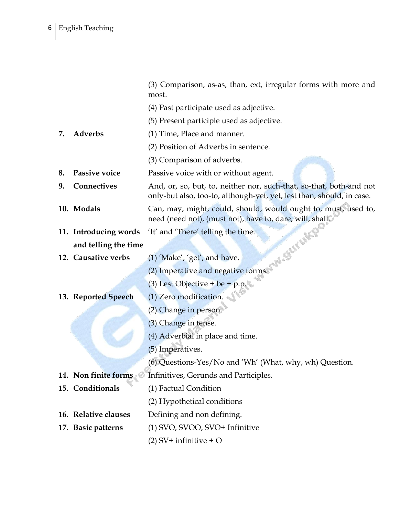| (3) Comparison, as-as, than, ext, irregular forms with more and |  |  |  |  |
|-----------------------------------------------------------------|--|--|--|--|
| most.                                                           |  |  |  |  |

- (4) Past participate used as adjective.
- (5) Present participle used as adjective.
- **7. Adverbs** (1) Time, Place and manner.
	- (2) Position of Adverbs in sentence.
	- (3) Comparison of adverbs.
- **8. Passive voice** Passive voice with or without agent.
- **9. Connectives** And, or, so, but, to, neither nor, such-that, so-that, both-and not only-but also, too-to, although-yet, yet, lest than, should, in case.
- **10. Modals** Can, may, might, could, should, would ought to, must, used to, need (need not), (must not), have to, dare, will, shall.
- **11. Introducing words** "It" and "There" telling the time.

#### **and telling the time**

- **12. Causative verbs** (1) 'Make', 'get', and have.
	- (2) Imperative and negative forms.
	- (3) Lest Objective  $+$  be  $+$  p.p.
- **13. Reported Speech** (1) Zero modification.
	- (2) Change in person.
	- (3) Change in tense.
	- (4) Adverbial in place and time.
	- (5) Imperatives.
	- (6) Questions-Yes/No and "Wh" (What, why, wh) Question.
- **14. Non finite forms Infinitives, Gerunds and Participles.**
- **15. Conditionals** (1) Factual Condition
	-
	- (2) Hypothetical conditions
- **16. Relative clauses** Defining and non defining.
- 
- **17. Basic patterns** (1) SVO, SVOO, SVO+ Infinitive
	- $(2)$  SV+ infinitive + O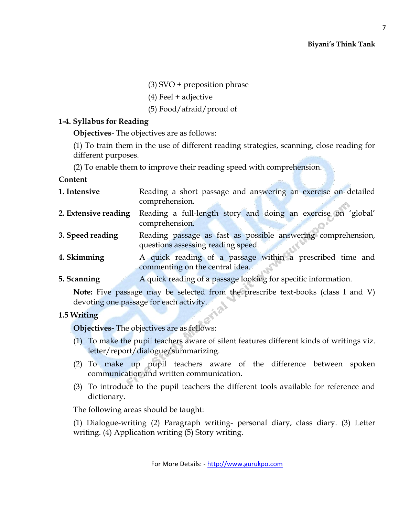- (3) SVO + preposition phrase
- (4) Feel + adjective
- (5) Food/afraid/proud of

#### **1-4. Syllabus for Reading**

**Objectives**- The objectives are as follows:

(1) To train them in the use of different reading strategies, scanning, close reading for different purposes.

(2) To enable them to improve their reading speed with comprehension.

#### **Content**

| 1. Intensive         | Reading a short passage and answering an exercise on detailed<br>comprehension.                    |
|----------------------|----------------------------------------------------------------------------------------------------|
| 2. Extensive reading | Reading a full-length story and doing an exercise on 'global'<br>comprehension.                    |
| 3. Speed reading     | Reading passage as fast as possible answering comprehension,<br>questions assessing reading speed. |
| 4. Skimming          | A quick reading of a passage within a prescribed time and<br>commenting on the central idea.       |
| 5. Scanning          | A quick reading of a passage looking for specific information.                                     |

**Note:** Five passage may be selected from the prescribe text-books (class I and V) devoting one passage for each activity.

#### **1.5 Writing**

**Objectives-** The objectives are as follows:

- (1) To make the pupil teachers aware of silent features different kinds of writings viz. letter/report/dialogue/summarizing.
- (2) To make up pupil teachers aware of the difference between spoken communication and written communication.
- (3) To introduce to the pupil teachers the different tools available for reference and dictionary.

The following areas should be taught:

(1) Dialogue-writing (2) Paragraph writing- personal diary, class diary. (3) Letter writing. (4) Application writing (5) Story writing.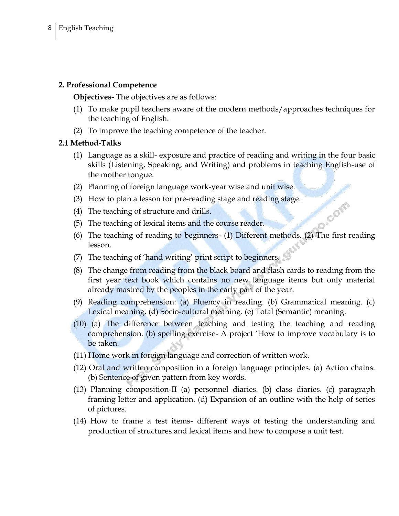#### **2. Professional Competence**

**Objectives-** The objectives are as follows:

- (1) To make pupil teachers aware of the modern methods/approaches techniques for the teaching of English.
- (2) To improve the teaching competence of the teacher.

#### **2.1 Method-Talks**

- (1) Language as a skill- exposure and practice of reading and writing in the four basic skills (Listening, Speaking, and Writing) and problems in teaching English-use of the mother tongue.
- (2) Planning of foreign language work-year wise and unit wise.
- (3) How to plan a lesson for pre-reading stage and reading stage.
- (4) The teaching of structure and drills.
- (5) The teaching of lexical items and the course reader.
- (6) The teaching of reading to beginners- (1) Different methods. (2) The first reading lesson.

COMO

- (7) The teaching of 'hand writing' print script to beginners.
- (8) The change from reading from the black board and flash cards to reading from the first year text book which contains no new language items but only material already mastred by the peoples in the early part of the year.
- (9) Reading comprehension: (a) Fluency in reading. (b) Grammatical meaning. (c) Lexical meaning. (d) Socio-cultural meaning. (e) Total (Semantic) meaning.
- (10) (a) The difference between teaching and testing the teaching and reading comprehension. (b) spelling exercise- A project "How to improve vocabulary is to be taken.
- (11) Home work in foreign language and correction of written work.
- (12) Oral and written composition in a foreign language principles. (a) Action chains. (b) Sentence of given pattern from key words.
- (13) Planning composition-II (a) personnel diaries. (b) class diaries. (c) paragraph framing letter and application. (d) Expansion of an outline with the help of series of pictures.
- (14) How to frame a test items- different ways of testing the understanding and production of structures and lexical items and how to compose a unit test.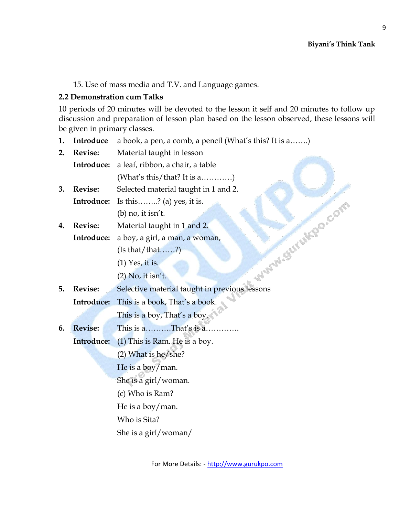9

15. Use of mass media and T.V. and Language games.

#### **2.2 Demonstration cum Talks**

10 periods of 20 minutes will be devoted to the lesson it self and 20 minutes to follow up discussion and preparation of lesson plan based on the lesson observed, these lessons will be given in primary classes.

**1.** Introduce a book, a pen, a comb, a pencil (What's this? It is a.......)

| 2. | <b>Revise:</b> | Material taught in lesson                         |
|----|----------------|---------------------------------------------------|
|    | Introduce:     | a leaf, ribbon, a chair, a table                  |
|    |                | (What's this/that? It is a)                       |
| 3. | <b>Revise:</b> | Selected material taught in 1 and 2.              |
|    | Introduce:     | Is this? (a) yes, it is.                          |
|    |                | $(b)$ no, it isn't.                               |
| 4. | <b>Revise:</b> | Material taught in 1 and 2.                       |
|    | Introduce:     | a boy, a girl, a man, a woman,                    |
|    |                | (Is that/that?)                                   |
|    |                | $(1)$ Yes, it is.                                 |
|    |                | <b>MARIAL SURFUMPO.COM</b><br>$(2)$ No, it isn't. |
| 5. | <b>Revise:</b> | Selective material taught in previous lessons     |
|    | Introduce:     | This is a book, That's a book.                    |
|    |                | This is a boy, That's a boy.                      |
| 6. | <b>Revise:</b> | This is aThat's is a.                             |
|    | Introduce:     | (1) This is Ram. He is a boy.                     |
|    |                | $(2)$ What is he/she?                             |
|    |                | He is a boy/man.                                  |
|    |                | She is a girl/woman.                              |
|    |                | (c) Who is Ram?                                   |
|    |                | He is a boy/man.                                  |
|    |                | Who is Sita?                                      |
|    |                | She is a girl/woman/                              |
|    |                |                                                   |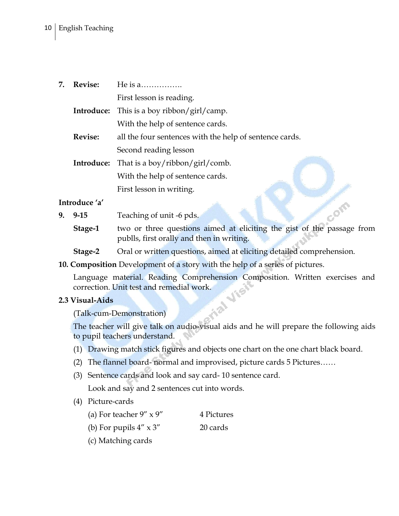| 7. | <b>Revise:</b> | He is $a$                                                              |
|----|----------------|------------------------------------------------------------------------|
|    |                | First lesson is reading.                                               |
|    | Introduce:     | This is a boy ribbon/girl/camp.                                        |
|    |                | With the help of sentence cards.                                       |
|    | <b>Revise:</b> | all the four sentences with the help of sentence cards.                |
|    |                | Second reading lesson                                                  |
|    | Introduce:     | That is a boy/ribbon/girl/comb.                                        |
|    |                | With the help of sentence cards.                                       |
|    |                | First lesson in writing.                                               |
|    | Introduce 'a'  |                                                                        |
| 9. | $9 - 15$       | Teaching of unit -6 pds.                                               |
|    | Stage-1        | two or three questions aimed at eliciting the gist of the passage from |

**Stage-2** Oral or written questions, aimed at eliciting detailed comprehension.

**10. Composition** Development of a story with the help of a series of pictures.

publls, first orally and then in writing.

Language material. Reading Comprehension Composition. Written exercises and correction. Unit test and remedial work.

#### **2.3 Visual-Aids**

(Talk-cum-Demonstration)

The teacher will give talk on audio-visual aids and he will prepare the following aids to pupil teachers understand.

- (1) Drawing match stick figures and objects one chart on the one chart black board.
- (2) The flannel board- normal and improvised, picture cards 5 Pictures……
- (3) Sentence cards and look and say card- 10 sentence card.

Look and say and 2 sentences cut into words.

#### (4) Picture-cards

- (a) For teacher  $9'' \times 9''$  4 Pictures
- (b) For pupils  $4'' \times 3''$  20 cards
- (c) Matching cards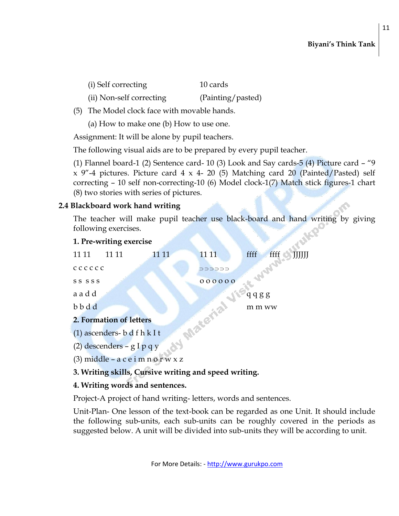| (i) Self correcting      | 10 cards          |
|--------------------------|-------------------|
| (ii) Non-self correcting | (Painting/pasted) |

- (5) The Model clock face with movable hands.
	- (a) How to make one (b) How to use one.

Assignment: It will be alone by pupil teachers.

The following visual aids are to be prepared by every pupil teacher.

(1) Flannel board-1 (2) Sentence card- 10 (3) Look and Say cards-5 (4) Picture card – "9 x 9"-4 pictures. Picture card 4 x 4- 20 (5) Matching card 20 (Painted/Pasted) self correcting – 10 self non-correcting-10 (6) Model clock-1(7) Match stick figures-1 chart (8) two stories with series of pictures.

#### **2.4 Blackboard work hand writing**

The teacher will make pupil teacher use black-board and hand writing by giving following exercises.

| 1. Pre-writing exercise |                              |       |        |                        |  |  |  |
|-------------------------|------------------------------|-------|--------|------------------------|--|--|--|
| 11 11                   | 11 11                        | 11 11 | 11 11  | ffff<br>ffff<br>JJJJJJ |  |  |  |
| c c c c c c             |                              |       | DDDDDD |                        |  |  |  |
| SS SSS                  |                              |       | 000000 |                        |  |  |  |
| aadd                    |                              |       |        | qqgg                   |  |  |  |
| bbdd                    |                              |       |        | m m ww                 |  |  |  |
|                         | 2. Formation of letters      |       |        |                        |  |  |  |
|                         | (1) ascenders- b d f h k I t |       |        |                        |  |  |  |

(2) descenders – g I p q y

(3) middle – a c e i m n o r w x z

#### **3. Writing skills, Cursive writing and speed writing.**

#### **4. Writing words and sentences.**

Project-A project of hand writing- letters, words and sentences.

Unit-Plan- One lesson of the text-book can be regarded as one Unit. It should include the following sub-units, each sub-units can be roughly covered in the periods as suggested below. A unit will be divided into sub-units they will be according to unit.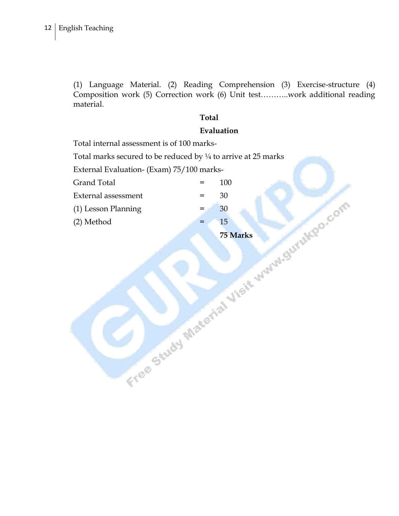#### 12 | English Teaching

(1) Language Material. (2) Reading Comprehension (3) Exercise-structure (4) Composition work (5) Correction work (6) Unit test………..work additional reading material.

#### **Total**

#### **Evaluation**

Total internal assessment is of 100 marks-

Total marks secured to be reduced by  $\frac{1}{4}$  to arrive at 25 marks

External Evaluation- (Exam) 75/100 marks-

| External assessment | 30 |
|---------------------|----|
| (1) Lesson Planning | 30 |
| (2) Method          | 15 |
|                     |    |

**75 Marks**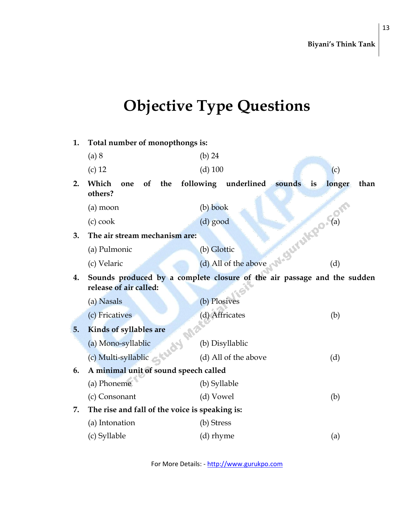13

## **Objective Type Questions**

| 1. | Total number of monopthongs is:                |                                                                                                                     |                |
|----|------------------------------------------------|---------------------------------------------------------------------------------------------------------------------|----------------|
|    | (a) 8                                          | (b) $24$                                                                                                            |                |
|    | $(c)$ 12                                       | $(d)$ 100                                                                                                           | (c)            |
| 2. | Which<br>the<br>of<br>one<br>others?           | following underlined<br>sounds<br>is                                                                                | longer<br>than |
|    | $(a)$ moon                                     | $(b)$ book                                                                                                          |                |
|    | $(c)$ cook                                     |                                                                                                                     |                |
| 3. | The air stream mechanism are:                  |                                                                                                                     |                |
|    | (a) Pulmonic                                   |                                                                                                                     |                |
|    | (c) Velaric                                    |                                                                                                                     |                |
| 4. | release of air called:                         | d) All of the above which the closure of<br>Sounds produced by a complete closure of the air passage and the sudden |                |
|    | (a) Nasals                                     | (b) Plosives                                                                                                        |                |
|    | (c) Fricatives                                 | (d) Affricates                                                                                                      | (b)            |
| 5. | Kinds of syllables are                         |                                                                                                                     |                |
|    | (a) Mono-syllablic                             | (b) Disyllablic                                                                                                     |                |
|    | (c) Multi-syllablic                            | (d) All of the above                                                                                                | (d)            |
| 6. | A minimal unit of sound speech called          |                                                                                                                     |                |
|    | (a) Phoneme                                    | (b) Syllable                                                                                                        |                |
|    | (c) Consonant                                  | (d) Vowel                                                                                                           | (b)            |
| 7. | The rise and fall of the voice is speaking is: |                                                                                                                     |                |
|    | (a) Intonation                                 | (b) Stress                                                                                                          |                |
|    | (c) Syllable                                   | (d) rhyme                                                                                                           | (a)            |

For More Details: - http://www.gurukpo.com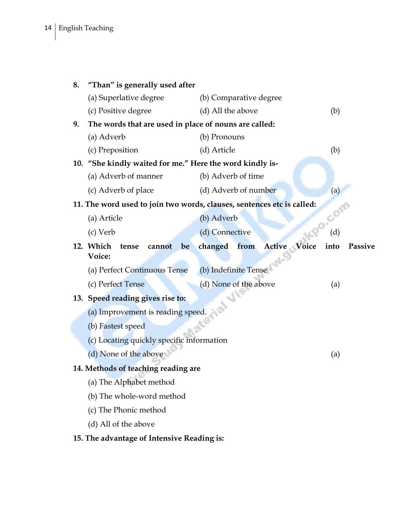| 8. | "Than" is generally used after                                         |                        |      |        |       |                |         |
|----|------------------------------------------------------------------------|------------------------|------|--------|-------|----------------|---------|
|    | (a) Superlative degree                                                 | (b) Comparative degree |      |        |       |                |         |
|    | (c) Positive degree                                                    | (d) All the above      |      |        |       | (b)            |         |
| 9. | The words that are used in place of nouns are called:                  |                        |      |        |       |                |         |
|    | (a) Adverb                                                             | (b) Pronouns           |      |        |       |                |         |
|    | (c) Preposition                                                        | (d) Article            |      |        |       | (b)            |         |
|    | 10. "She kindly waited for me." Here the word kindly is-               |                        |      |        |       |                |         |
|    | (a) Adverb of manner                                                   | (b) Adverb of time     |      |        |       |                |         |
|    | (c) Adverb of place                                                    | (d) Adverb of number   |      |        |       | (a)            |         |
|    | 11. The word used to join two words, clauses, sentences etc is called: |                        |      |        |       |                |         |
|    | (a) Article                                                            | (b) Adverb             |      |        |       |                |         |
|    | (c) Verb                                                               | (d) Connective         |      |        |       | <b>MPO.COY</b> |         |
|    | 12. Which<br>cannot<br>be<br>tense                                     | changed                | from | Active | Voice | into           | Passive |
|    | Voice:                                                                 |                        |      |        |       |                |         |
|    | (a) Perfect Continuous Tense                                           | (b) Indefinite Tense   |      |        |       |                |         |
|    | (c) Perfect Tense                                                      | (d) None of the above  |      |        |       | (a)            |         |
|    | 13. Speed reading gives rise to:                                       |                        |      |        |       |                |         |
|    | (a) Improvement is reading speed.                                      |                        |      |        |       |                |         |
|    | (b) Fastest speed                                                      |                        |      |        |       |                |         |
|    | (c) Locating quickly specific information                              |                        |      |        |       |                |         |
|    | (d) None of the above                                                  |                        |      |        |       | (a)            |         |
|    | 14. Methods of teaching reading are                                    |                        |      |        |       |                |         |
|    | (a) The Alphabet method                                                |                        |      |        |       |                |         |
|    | (b) The whole-word method                                              |                        |      |        |       |                |         |
|    | (c) The Phonic method                                                  |                        |      |        |       |                |         |
|    | (d) All of the above                                                   |                        |      |        |       |                |         |
|    | 15. The advantage of Intensive Reading is:                             |                        |      |        |       |                |         |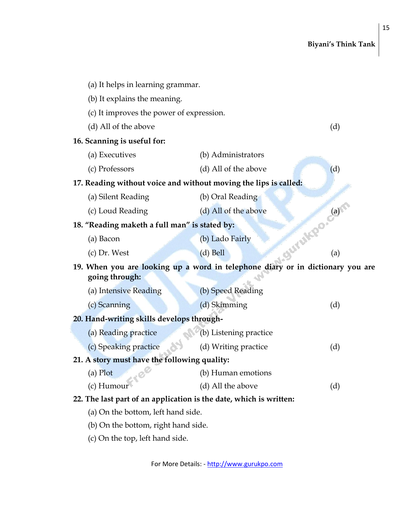15

|                                                                    | (a) It helps in learning grammar.                                              |     |  |  |  |
|--------------------------------------------------------------------|--------------------------------------------------------------------------------|-----|--|--|--|
| (b) It explains the meaning.                                       |                                                                                |     |  |  |  |
| (c) It improves the power of expression.                           |                                                                                |     |  |  |  |
| (d) All of the above                                               |                                                                                | (d) |  |  |  |
| 16. Scanning is useful for:                                        |                                                                                |     |  |  |  |
| (a) Executives                                                     | (b) Administrators                                                             |     |  |  |  |
| (c) Professors                                                     | (d) All of the above                                                           | (d) |  |  |  |
| 17. Reading without voice and without moving the lips is called:   |                                                                                |     |  |  |  |
| (a) Silent Reading                                                 | (b) Oral Reading                                                               |     |  |  |  |
| (c) Loud Reading                                                   | (d) All of the above                                                           |     |  |  |  |
| 18. "Reading maketh a full man" is stated by:                      | M.SULLUMPO.Califo                                                              |     |  |  |  |
| (a) Bacon                                                          | (b) Lado Fairly                                                                |     |  |  |  |
| $(c)$ Dr. West                                                     | $(d)$ Bell                                                                     |     |  |  |  |
| going through:                                                     | 19. When you are looking up a word in telephone diary or in dictionary you are |     |  |  |  |
| (a) Intensive Reading                                              | (b) Speed Reading                                                              |     |  |  |  |
| (c) Scanning                                                       | (d) Skimming                                                                   | (d) |  |  |  |
| 20. Hand-writing skills develops through-                          |                                                                                |     |  |  |  |
| (a) Reading practice                                               | (b) Listening practice                                                         |     |  |  |  |
| (c) Speaking practice                                              | (d) Writing practice                                                           | (d) |  |  |  |
| 21. A story must have the following quality:                       |                                                                                |     |  |  |  |
|                                                                    | (b) Human emotions                                                             |     |  |  |  |
| (c) Humour                                                         | (d) All the above                                                              | (d) |  |  |  |
| 22. The last part of an application is the date, which is written: |                                                                                |     |  |  |  |
| (a) On the bottom, left hand side.                                 |                                                                                |     |  |  |  |
| (b) On the bottom, right hand side.                                |                                                                                |     |  |  |  |
|                                                                    |                                                                                |     |  |  |  |

(c) On the top, left hand side.

For More Details: - http://www.gurukpo.com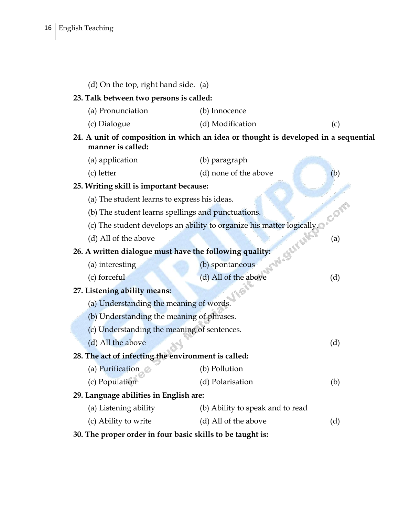| (d) On the top, right hand side. (a)                    |                                                                                    |     |
|---------------------------------------------------------|------------------------------------------------------------------------------------|-----|
| 23. Talk between two persons is called:                 |                                                                                    |     |
| (a) Pronunciation                                       | (b) Innocence                                                                      |     |
| (c) Dialogue                                            | (d) Modification                                                                   | (c) |
| manner is called:                                       | 24. A unit of composition in which an idea or thought is developed in a sequential |     |
| (a) application                                         | (b) paragraph                                                                      |     |
| (c) letter                                              | (d) none of the above                                                              | (b) |
| 25. Writing skill is important because:                 |                                                                                    |     |
| (a) The student learns to express his ideas.            |                                                                                    |     |
| (b) The student learns spellings and punctuations.      |                                                                                    | Com |
|                                                         | (c) The student develops an ability to organize his matter logically.              |     |
| (d) All of the above                                    |                                                                                    | (a) |
| 26. A written dialogue must have the following quality: | J'VI. Suruk                                                                        |     |
| (a) interesting                                         | (b) spontaneous                                                                    |     |
| (c) forceful                                            | (d) All of the above                                                               | (d) |
| 27. Listening ability means:                            |                                                                                    |     |
| (a) Understanding the meaning of words.                 |                                                                                    |     |
| (b) Understanding the meaning of phrases.               |                                                                                    |     |
| (c) Understanding the meaning of sentences.             |                                                                                    |     |
| (d) All the above                                       |                                                                                    | (d) |
| 28. The act of infecting the environment is called:     |                                                                                    |     |
| (a) Purification                                        | (b) Pollution                                                                      |     |
| (c) Population                                          | (d) Polarisation                                                                   | (b) |
| 29. Language abilities in English are:                  |                                                                                    |     |
| (a) Listening ability                                   | (b) Ability to speak and to read                                                   |     |
| (c) Ability to write                                    | (d) All of the above                                                               | (d) |
|                                                         |                                                                                    |     |

**30. The proper order in four basic skills to be taught is:**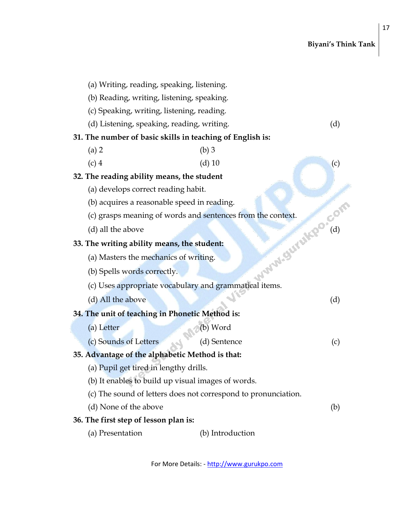17

| (a) Writing, reading, speaking, listening.                     |     |
|----------------------------------------------------------------|-----|
| (b) Reading, writing, listening, speaking.                     |     |
| (c) Speaking, writing, listening, reading.                     |     |
| (d) Listening, speaking, reading, writing.                     | (d) |
| 31. The number of basic skills in teaching of English is:      |     |
| $(a)$ 2<br>$(b)$ 3                                             |     |
| $(c)$ 4<br>$(d)$ 10                                            | (c) |
| 32. The reading ability means, the student                     |     |
| (a) develops correct reading habit.                            |     |
| (b) acquires a reasonable speed in reading.                    |     |
| (c) grasps meaning of words and sentences from the context.    |     |
| Journ, Oursik Po. Com<br>(d) all the above                     |     |
| 33. The writing ability means, the student:                    |     |
| (a) Masters the mechanics of writing.                          |     |
| (b) Spells words correctly.                                    |     |
| (c) Uses appropriate vocabulary and grammatical items.         |     |
| (d) All the above                                              | (d) |
| 34. The unit of teaching in Phonetic Method is:                |     |
| (b) Word<br>(a) Letter                                         |     |
| (c) Sounds of Letters<br>(d) Sentence                          | (c) |
| 35. Advantage of the alphabetic Method is that:                |     |
| (a) Pupil get tired in lengthy drills.                         |     |
| (b) It enables to build up visual images of words.             |     |
| (c) The sound of letters does not correspond to pronunciation. |     |
| (d) None of the above                                          | (b) |
| 36. The first step of lesson plan is:                          |     |
| (a) Presentation<br>(b) Introduction                           |     |
|                                                                |     |

For More Details: - http://www.gurukpo.com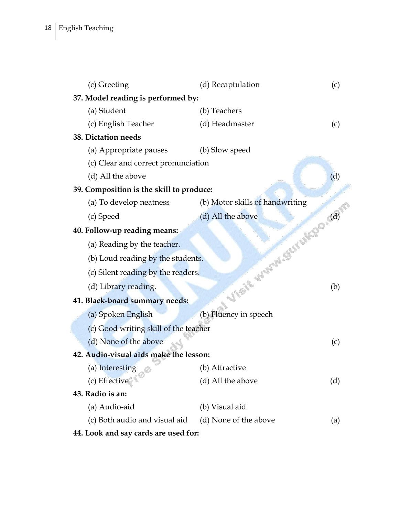| (c) Greeting                             | (d) Recaptulation               | (c) |  |
|------------------------------------------|---------------------------------|-----|--|
| 37. Model reading is performed by:       |                                 |     |  |
| (a) Student                              | (b) Teachers                    |     |  |
| (c) English Teacher                      | (d) Headmaster                  | (c) |  |
| 38. Dictation needs                      |                                 |     |  |
| (a) Appropriate pauses                   | (b) Slow speed                  |     |  |
| (c) Clear and correct pronunciation      |                                 |     |  |
| (d) All the above                        |                                 | (d) |  |
| 39. Composition is the skill to produce: |                                 |     |  |
| (a) To develop neatness                  | (b) Motor skills of handwriting |     |  |
| (c) Speed                                | (d) All the above               |     |  |
| 40. Follow-up reading means:             |                                 |     |  |
| (a) Reading by the teacher.              |                                 |     |  |
| (b) Loud reading by the students.        |                                 |     |  |
| (c) Silent reading by the readers.       | VISIE MANAL SUIVANCE (A)        |     |  |
| (d) Library reading.                     |                                 |     |  |
| 41. Black-board summary needs:           |                                 |     |  |
| (a) Spoken English                       | (b) Fluency in speech           |     |  |
| (c) Good writing skill of the teacher    |                                 |     |  |
| (d) None of the above                    |                                 | (c) |  |
| 42. Audio-visual aids make the lesson:   |                                 |     |  |
| (a) Interesting                          | (b) Attractive                  |     |  |
| (c) Effective                            | (d) All the above               | (d) |  |
| 43. Radio is an:                         |                                 |     |  |
| (a) Audio-aid                            | (b) Visual aid                  |     |  |
| (c) Both audio and visual aid            | (d) None of the above           | (a) |  |
| 44. Look and say cards are used for:     |                                 |     |  |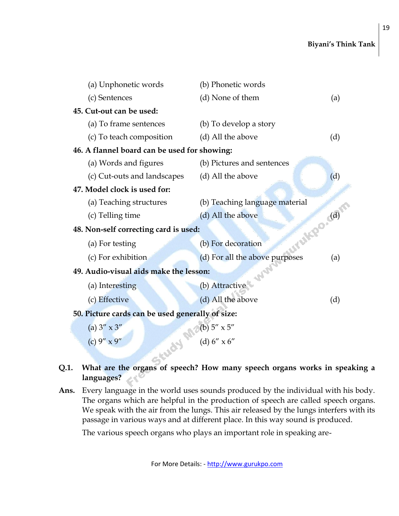| (a) Unphonetic words                             | (b) Phonetic words                           |     |
|--------------------------------------------------|----------------------------------------------|-----|
| (c) Sentences                                    | (d) None of them                             | (a) |
| 45. Cut-out can be used:                         |                                              |     |
| (a) To frame sentences                           | (b) To develop a story                       |     |
| (c) To teach composition                         | (d) All the above                            | (d) |
| 46. A flannel board can be used for showing:     |                                              |     |
| (a) Words and figures                            | (b) Pictures and sentences                   |     |
| (c) Cut-outs and landscapes                      | (d) All the above                            | (d) |
| 47. Model clock is used for:                     |                                              |     |
| (a) Teaching structures                          | (b) Teaching language material               |     |
| (c) Telling time                                 | (d) All the above                            |     |
| 48. Non-self correcting card is used:            |                                              |     |
| (a) For testing                                  | ATUMPO.CA<br>(b) For decoration              |     |
| (c) For exhibition                               | (d) For all the above purposes               | (a) |
| 49. Audio-visual aids make the lesson:           |                                              |     |
| (a) Interesting                                  | (b) Attractive                               |     |
| (c) Effective                                    | (d) All the above                            | (d) |
| 50. Picture cards can be used generally of size: |                                              |     |
| (a) $3'' \times 3''$                             |                                              |     |
| (c) $9'' \times 9''$                             | (b) $5'' \times 5''$<br>(d) $6'' \times 6''$ |     |

#### **Q.1. What are the organs of speech? How many speech organs works in speaking a languages?**

**Ans.** Every language in the world uses sounds produced by the individual with his body. The organs which are helpful in the production of speech are called speech organs. We speak with the air from the lungs. This air released by the lungs interfers with its passage in various ways and at different place. In this way sound is produced.

The various speech organs who plays an important role in speaking are-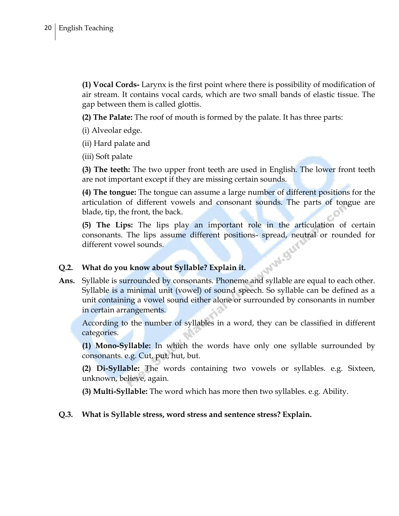**(1) Vocal Cords-** Larynx is the first point where there is possibility of modification of air stream. It contains vocal cards, which are two small bands of elastic tissue. The gap between them is called glottis.

**(2) The Palate:** The roof of mouth is formed by the palate. It has three parts:

(i) Alveolar edge.

(ii) Hard palate and

(iii) Soft palate

**(3) The teeth:** The two upper front teeth are used in English. The lower front teeth are not important except if they are missing certain sounds.

**(4) The tongue:** The tongue can assume a large number of different positions for the articulation of different vowels and consonant sounds. The parts of tongue are blade, tip, the front, the back.

**(5) The Lips:** The lips play an important role in the articulation of certain consonants. The lips assume different positions- spread, neutral or rounded for different vowel sounds.

#### **Q.2. What do you know about Syllable? Explain it.**

**Ans.** Syllable is surrounded by consonants. Phoneme and syllable are equal to each other. Syllable is a minimal unit (vowel) of sound speech. So syllable can be defined as a unit containing a vowel sound either alone or surrounded by consonants in number in certain arrangements.

According to the number of syllables in a word, they can be classified in different categories.

**(1) Mono-Syllable:** In which the words have only one syllable surrounded by consonants. e.g. Cut, put, hut, but.

**(2) Di-Syllable:** The words containing two vowels or syllables. e.g. Sixteen, unknown, believe, again.

**(3) Multi-Syllable:** The word which has more then two syllables. e.g. Ability.

#### **Q.3. What is Syllable stress, word stress and sentence stress? Explain.**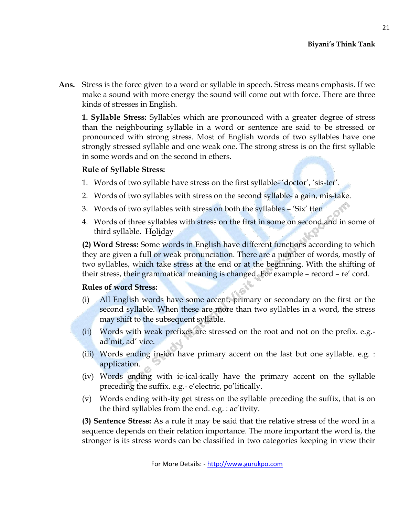**Ans.** Stress is the force given to a word or syllable in speech. Stress means emphasis. If we make a sound with more energy the sound will come out with force. There are three kinds of stresses in English.

**1. Syllable Stress:** Syllables which are pronounced with a greater degree of stress than the neighbouring syllable in a word or sentence are said to be stressed or pronounced with strong stress. Most of English words of two syllables have one strongly stressed syllable and one weak one. The strong stress is on the first syllable in some words and on the second in ethers.

#### **Rule of Syllable Stress:**

- 1. Words of two syllable have stress on the first syllable- "doctor", "sis-ter".
- 2. Words of two syllables with stress on the second syllable- a gain, mis-take.
- 3. Words of two syllables with stress on both the syllables "Six" tten
- 4. Words of three syllables with stress on the first in some on second and in some of third syllable. Holiday

**(2) Word Stress:** Some words in English have different functions according to which they are given a full or weak pronunciation. There are a number of words, mostly of two syllables, which take stress at the end or at the beginning. With the shifting of their stress, their grammatical meaning is changed. For example – record – re' cord.

#### **Rules of word Stress:**

- (i) All English words have some accent, primary or secondary on the first or the second syllable. When these are more than two syllables in a word, the stress may shift to the subsequent syllable.
- (ii) Words with weak prefixes are stressed on the root and not on the prefix. e.g. ad'mit, ad' vice.
- (iii) Words ending in-ion have primary accent on the last but one syllable. e.g. : application.
- (iv) Words ending with ic-ical-ically have the primary accent on the syllable preceding the suffix. e.g.- e"electric, po"litically.
- (v) Words ending with-ity get stress on the syllable preceding the suffix, that is on the third syllables from the end. e.g. : ac"tivity.

**(3) Sentence Stress:** As a rule it may be said that the relative stress of the word in a sequence depends on their relation importance. The more important the word is, the stronger is its stress words can be classified in two categories keeping in view their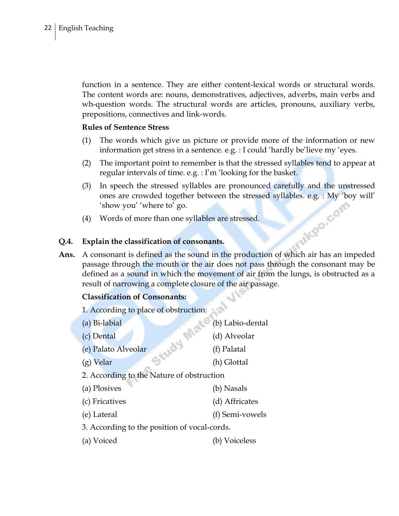function in a sentence. They are either content-lexical words or structural words. The content words are: nouns, demonstratives, adjectives, adverbs, main verbs and wh-question words. The structural words are articles, pronouns, auxiliary verbs, prepositions, connectives and link-words.

#### **Rules of Sentence Stress**

- (1) The words which give us picture or provide more of the information or new information get stress in a sentence. e.g. : I could 'hardly be'lieve my 'eyes.
- (2) The important point to remember is that the stressed syllables tend to appear at regular intervals of time. e.g. : I"m "looking for the basket.
- (3) In speech the stressed syllables are pronounced carefully and the unstressed ones are crowded together between the stressed syllables. e.g. : My 'boy will'<br>
'show you' 'where to' go.<br>
Words of more than one syllables are stressed.<br>
ain the classification 'show you' 'where to' go.
- (4) Words of more than one syllables are stressed.

#### **Q.4. Explain the classification of consonants.**

**Ans.** A consonant is defined as the sound in the production of which air has an impeded passage through the mouth or the air does not pass through the consonant may be defined as a sound in which the movement of air from the lungs, is obstructed as a result of narrowing a complete closure of the air passage.

#### **Classification of Consonants:**

| 1. According to place of obstruction:        |                       |
|----------------------------------------------|-----------------------|
| (a) Bi-labial                                | (b) Labio-dental      |
| (c) Dental                                   | (d) Alveolar          |
| (e) Palato Alveolar                          | (f) Palatal           |
| $(g)$ Velar                                  | (h) Glottal           |
| 2. According to the Nature of obstruction    |                       |
| (a) Plosives                                 | (b) Nasals            |
| (c) Fricatives                               | (d) Affricates        |
| (e) Lateral                                  | (f) Semi-vowels       |
| 3. According to the position of vocal-cords. |                       |
| (a) Voiced                                   | <sup>7</sup> oiceless |
|                                              |                       |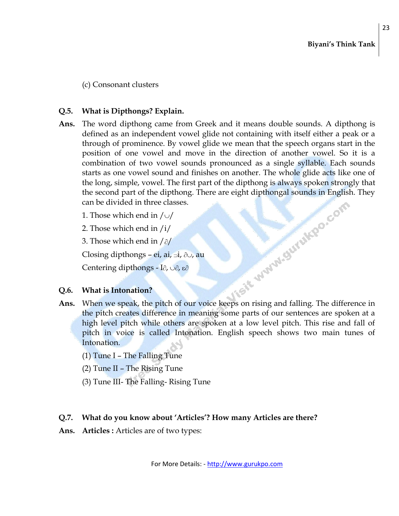(c) Consonant clusters

#### **Q.5. What is Dipthongs? Explain.**

- **Ans.** The word dipthong came from Greek and it means double sounds. A dipthong is defined as an independent vowel glide not containing with itself either a peak or a through of prominence. By vowel glide we mean that the speech organs start in the position of one vowel and move in the direction of another vowel. So it is a combination of two vowel sounds pronounced as a single syllable. Each sounds starts as one vowel sound and finishes on another. The whole glide acts like one of the long, simple, vowel. The first part of the dipthong is always spoken strongly that the second part of the dipthong. There are eight dipthongal sounds in English. They<br>can be divided in three classes.<br>1. Those which end in /o/<br>2. Those which end in /i/<br>3. Those which end in /o/<br>Closing dipthongs - ei, ai can be divided in three classes.
	- 1. Those which end in  $/\bigcup$
	- 2. Those which end in /i/
	- 3. Those which end in  $\frac{\partial}{\partial x}$

Closing dipthongs – ei, ai,  $\exists i$ ,  $\partial \bigcup$ , au

Centering dipthongs - I $\partial$ ,  $\cup \partial$ ,  $\epsilon \partial$ 

#### **Q.6. What is Intonation?**

- **Ans.** When we speak, the pitch of our voice keeps on rising and falling. The difference in the pitch creates difference in meaning some parts of our sentences are spoken at a high level pitch while others are spoken at a low level pitch. This rise and fall of pitch in voice is called Intonation. English speech shows two main tunes of Intonation.
	- (1) Tune I The Falling Tune
	- (2) Tune II The Rising Tune
	- (3) Tune III- The Falling- Rising Tune

#### **Q.7. What do you know about "Articles"? How many Articles are there?**

Ans. Articles : Articles are of two types: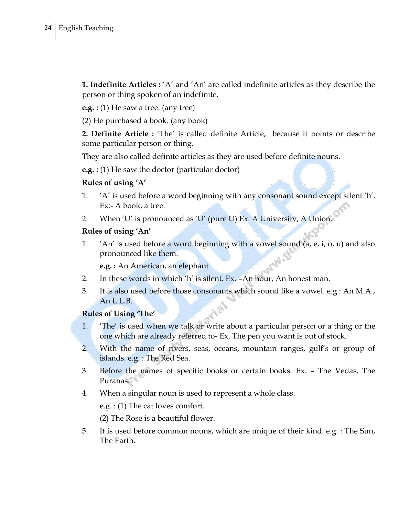#### 24 | English Teaching

**1. Indefinite Articles :** 'A' and 'An' are called indefinite articles as they describe the person or thing spoken of an indefinite.

**e.g.** : (1) He saw a tree. (any tree)

(2) He purchased a book. (any book)

**2. Definite Article :** "The" is called definite Article, because it points or describe some particular person or thing.

They are also called definite articles as they are used before definite nouns.

**e.g. :** (1) He saw the doctor (particular doctor)

#### **Rules of using "A"**

- 1. "A" is used before a word beginning with any consonant sound except silent "h". Ex:- A book, a tree.
- 2. When 'U' is pronounced as 'U' (pure U) Ex. A University, A Union.

#### **Rules of using "An"**

1. "An" is used before a word beginning with a vowel sound (a, e, i, o, u) and also pronounced like them.

**e.g. :** An American, an elephant

- 2. In these words in which 'h' is silent. Ex. -An hour, An honest man.
- 3. It is also used before those consonants which sound like a vowel. e.g.: An M.A., An  $L.L.B.$

#### **Rules of Using "The"**

- 1. "The" is used when we talk or write about a particular person or a thing or the one which are already referred to- Ex. The pen you want is out of stock.
- 2. With the name of rivers, seas, oceans, mountain ranges, gulf"s or group of islands. e.g. : The Red Sea.
- 3. Before the names of specific books or certain books. Ex. The Vedas, The Puranas.
- 4. When a singular noun is used to represent a whole class.

e.g. : (1) The cat loves comfort.

(2) The Rose is a beautiful flower.

5. It is used before common nouns, which are unique of their kind. e.g. : The Sun, The Earth.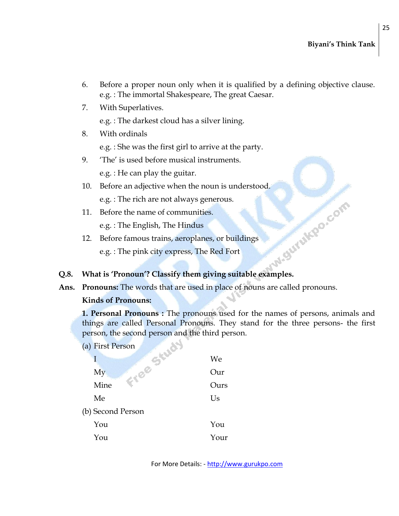- 6. Before a proper noun only when it is qualified by a defining objective clause. e.g. : The immortal Shakespeare, The great Caesar.
- 7. With Superlatives.
	- e.g. : The darkest cloud has a silver lining.
- 8. With ordinals

e.g. : She was the first girl to arrive at the party.

- 9. "The" is used before musical instruments. e.g. : He can play the guitar.
- e.g. : The rich are not always generous.
- 11. Before the name of communities. e.g. : The English, The Hindus
- 10. Before an adjective when the noun is understood.<br>
e.g. : The rich are not always generous.<br>
11. Before the name of communities.<br>
e.g. : The English, The Hindus<br>
12. Before famous trains, aeroplanes, or building<br>
e.g. : 12. Before famous trains, aeroplanes, or buildings e.g. : The pink city express, The Red Fort
- **Q.8. What is "Pronoun"? Classify them giving suitable examples.**
- **Ans. Pronouns:** The words that are used in place of nouns are called pronouns.

#### **Kinds of Pronouns:**

**1. Personal Pronouns :** The pronouns used for the names of persons, animals and things are called Personal Pronouns. They stand for the three persons- the first person, the second person and the third person.

(a) First Person

|                   | We   |
|-------------------|------|
| My<br>E           | Our  |
| Mine              | Ours |
| Me                | Us   |
| (b) Second Person |      |
| You               | You  |
| You               | Your |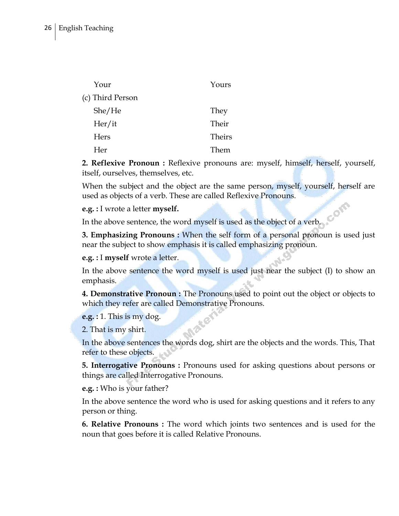| Your             | Yours         |
|------------------|---------------|
| (c) Third Person |               |
| She/He           | They          |
| Her/it           | Their         |
| <b>Hers</b>      | <b>Theirs</b> |
| Her              | Them          |

**2. Reflexive Pronoun :** Reflexive pronouns are: myself, himself, herself, yourself, itself, ourselves, themselves, etc.

When the subject and the object are the same person, myself, yourself, herself are used as objects of a verb. These are called Reflexive Pronouns.

**e.g. :** I wrote a letter **myself.**

In the above sentence, the word myself is used as the object of a verb.

**3. Emphasizing Pronouns :** When the self form of a personal pronoun is used just near the subject to show emphasis it is called emphasizing pronoun.

**e.g. :** I **myself** wrote a letter.

In the above sentence the word myself is used just near the subject (I) to show an emphasis.

**4. Demonstrative Pronoun :** The Pronouns used to point out the object or objects to which they refer are called Demonstrative Pronouns.

**e.g. :** 1. This is my dog.

2. That is my shirt.

In the above sentences the words dog, shirt are the objects and the words. This, That refer to these objects.

**5. Interrogative Pronouns :** Pronouns used for asking questions about persons or things are called Interrogative Pronouns.

**e.g. :** Who is your father?

In the above sentence the word who is used for asking questions and it refers to any person or thing.

**6. Relative Pronouns :** The word which joints two sentences and is used for the noun that goes before it is called Relative Pronouns.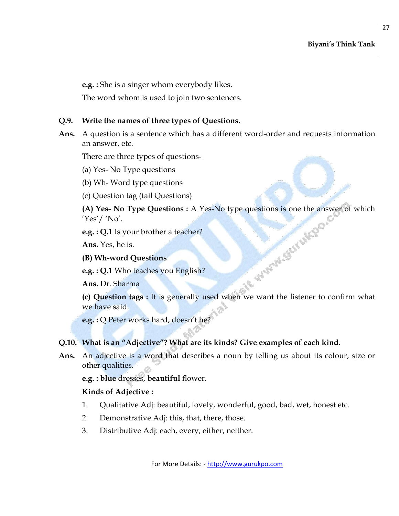**e.g. :** She is a singer whom everybody likes.

The word whom is used to join two sentences.

#### **Q.9. Write the names of three types of Questions.**

**Ans.** A question is a sentence which has a different word-order and requests information an answer, etc.

There are three types of questions-

(a) Yes- No Type questions

(b) Wh- Word type questions

(c) Question tag (tail Questions)

**(A) Yes- No Type Questions :** A Yes-No type questions is one the answer of which 'Yes'/ 'No'.<br> **e.g. : Q.1** Is your brother a teacher?<br> **Ans.** Yes, he is.<br> **(B) Wh-word Questions**<br> **e.g. : Q.1** Who teaches you English?<br>  $Yes'/No'.$ 

**e.g. : Q.1** Is your brother a teacher?

**Ans.** Yes, he is.

**(B) Wh-word Questions**

**e.g. : Q.1** Who teaches you English?

**Ans.** Dr. Sharma

**(c) Question tags :** It is generally used when we want the listener to confirm what we have said.

**e.g. :** Q Peter works hard, doesn't he?

#### **Q.10. What is an "Adjective"? What are its kinds? Give examples of each kind.**

**Ans.** An adjective is a word that describes a noun by telling us about its colour, size or other qualities.

**e.g. : blue** dresses, **beautiful** flower.

#### **Kinds of Adjective :**

- 1. Qualitative Adj: beautiful, lovely, wonderful, good, bad, wet, honest etc.
- 2. Demonstrative Adj: this, that, there, those.
- 3. Distributive Adj: each, every, either, neither.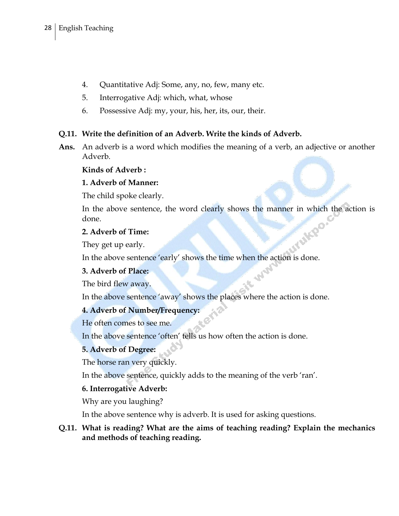- 4. Quantitative Adj: Some, any, no, few, many etc.
- 5. Interrogative Adj: which, what, whose
- 6. Possessive Adj: my, your, his, her, its, our, their.

#### **Q.11. Write the definition of an Adverb. Write the kinds of Adverb.**

**Ans.** An adverb is a word which modifies the meaning of a verb, an adjective or another Adverb.

#### **Kinds of Adverb :**

#### **1. Adverb of Manner:**

The child spoke clearly.

In the above sentence, the word clearly shows the manner in which the action is LITTLING O.C done.

#### **2. Adverb of Time:**

They get up early.

In the above sentence 'early' shows the time when the action is done.

#### **3. Adverb of Place:**

The bird flew away.

In the above sentence 'away' shows the places where the action is done.

#### **4. Adverb of Number/Frequency:**

He often comes to see me.

In the above sentence "often" tells us how often the action is done.

#### **5. Adverb of Degree:**

The horse ran very quickly.

In the above sentence, quickly adds to the meaning of the verb 'ran'.

#### **6. Interrogative Adverb:**

Why are you laughing?

In the above sentence why is adverb. It is used for asking questions.

**Q.11. What is reading? What are the aims of teaching reading? Explain the mechanics and methods of teaching reading.**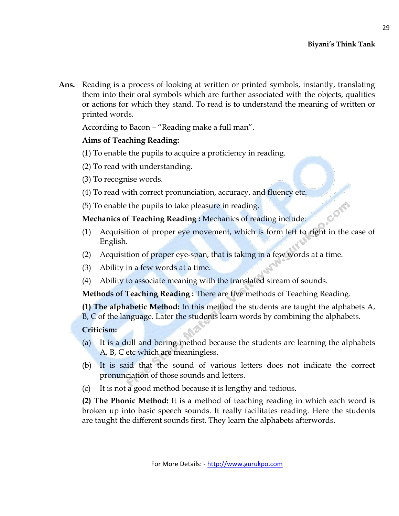Com

**Ans.** Reading is a process of looking at written or printed symbols, instantly, translating them into their oral symbols which are further associated with the objects, qualities or actions for which they stand. To read is to understand the meaning of written or printed words.

According to Bacon – "Reading make a full man".

#### **Aims of Teaching Reading:**

(1) To enable the pupils to acquire a proficiency in reading.

(2) To read with understanding.

(3) To recognise words.

(4) To read with correct pronunciation, accuracy, and fluency etc.

(5) To enable the pupils to take pleasure in reading.

**Mechanics of Teaching Reading :** Mechanics of reading include:

- (1) Acquisition of proper eye movement, which is form left to right in the case of English.
- (2) Acquisition of proper eye-span, that is taking in a few words at a time.
- (3) Ability in a few words at a time.
- (4) Ability to associate meaning with the translated stream of sounds.

**Methods of Teaching Reading :** There are five methods of Teaching Reading.

**(1) The alphabetic Method:** In this method the students are taught the alphabets A, B, C of the language. Later the students learn words by combining the alphabets.

#### **Criticism:**

- (a) It is a dull and boring method because the students are learning the alphabets A, B, C etc which are meaningless.
- (b) It is said that the sound of various letters does not indicate the correct pronunciation of those sounds and letters.
- (c) It is not a good method because it is lengthy and tedious.

**(2) The Phonic Method:** It is a method of teaching reading in which each word is broken up into basic speech sounds. It really facilitates reading. Here the students are taught the different sounds first. They learn the alphabets afterwords.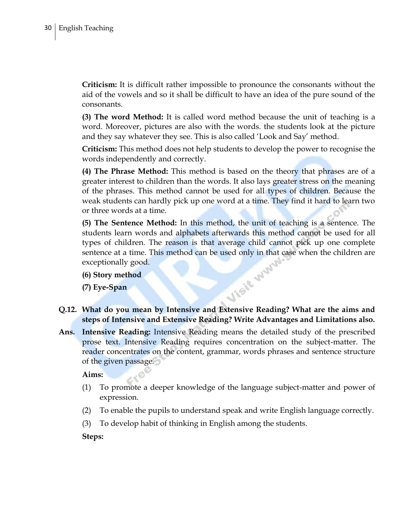**Criticism:** It is difficult rather impossible to pronounce the consonants without the aid of the vowels and so it shall be difficult to have an idea of the pure sound of the consonants.

**(3) The word Method:** It is called word method because the unit of teaching is a word. Moreover, pictures are also with the words. the students look at the picture and they say whatever they see. This is also called "Look and Say" method.

**Criticism:** This method does not help students to develop the power to recognise the words independently and correctly.

**(4) The Phrase Method:** This method is based on the theory that phrases are of a greater interest to children than the words. It also lays greater stress on the meaning of the phrases. This method cannot be used for all types of children. Because the weak students can hardly pick up one word at a time. They find it hard to learn two or three words at a time.

**(5) The Sentence Method:** In this method, the unit of teaching is a sentence. The students learn words and alphabets afterwards this method cannot be used for all types of children. The reason is that average child cannot pick up one complete sentence at a time. This method can be used only in that case when the children are exceptionally good.<br>
(6) Story method<br>
(7) Eye-Span exceptionally good.

**(6) Story method** 

**(7) Eye-Span**

- **Q.12. What do you mean by Intensive and Extensive Reading? What are the aims and steps of Intensive and Extensive Reading? Write Advantages and Limitations also.**
- **Ans. Intensive Reading:** Intensive Reading means the detailed study of the prescribed prose text. Intensive Reading requires concentration on the subject-matter. The reader concentrates on the content, grammar, words phrases and sentence structure of the given passage.

**Aims:** 

- (1) To promote a deeper knowledge of the language subject-matter and power of expression.
- (2) To enable the pupils to understand speak and write English language correctly.
- (3) To develop habit of thinking in English among the students.

**Steps:**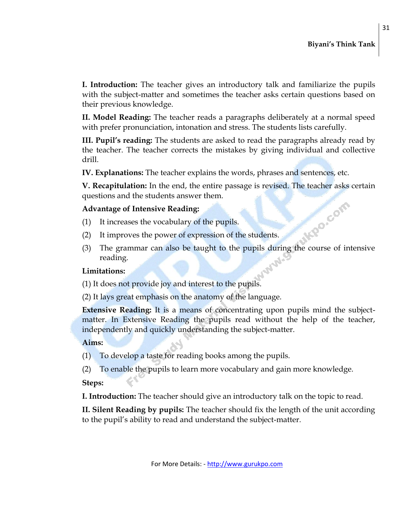**I. Introduction:** The teacher gives an introductory talk and familiarize the pupils with the subject-matter and sometimes the teacher asks certain questions based on their previous knowledge.

**II. Model Reading:** The teacher reads a paragraphs deliberately at a normal speed with prefer pronunciation, intonation and stress. The students lists carefully.

**III. Pupil"s reading:** The students are asked to read the paragraphs already read by the teacher. The teacher corrects the mistakes by giving individual and collective drill.

**IV. Explanations:** The teacher explains the words, phrases and sentences, etc.

**V. Recapitulation:** In the end, the entire passage is revised. The teacher asks certain questions and the students answer them.

#### **Advantage of Intensive Reading:**

- (1) It increases the vocabulary of the pupils.
- (2) It improves the power of expression of the students.
- (2) It improves the power of expression of the students.<br>
(3) The grammar can also be taught to the pupils during the course of intensive reading.

#### **Limitations:**

(1) It does not provide joy and interest to the pupils.

(2) It lays great emphasis on the anatomy of the language.

**Extensive Reading:** It is a means of concentrating upon pupils mind the subjectmatter. In Extensive Reading the pupils read without the help of the teacher, independently and quickly understanding the subject-matter.

#### **Aims:**

- (1) To develop a taste for reading books among the pupils.
- (2) To enable the pupils to learn more vocabulary and gain more knowledge.

#### **Steps:**

**I. Introduction:** The teacher should give an introductory talk on the topic to read.

**II. Silent Reading by pupils:** The teacher should fix the length of the unit according to the pupil"s ability to read and understand the subject-matter.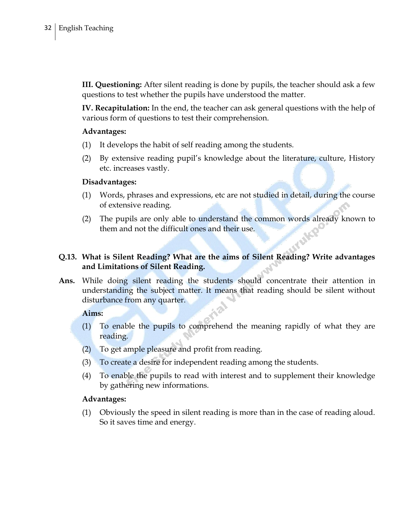**III. Questioning:** After silent reading is done by pupils, the teacher should ask a few questions to test whether the pupils have understood the matter.

**IV. Recapitulation:** In the end, the teacher can ask general questions with the help of various form of questions to test their comprehension.

#### **Advantages:**

- (1) It develops the habit of self reading among the students.
- (2) By extensive reading pupil"s knowledge about the literature, culture, History etc. increases vastly.

#### **Disadvantages:**

- (1) Words, phrases and expressions, etc are not studied in detail, during the course of extensive reading.
- (2) The pupils are only able to understand the common words already known to them and not the difficult ones and their use.

#### **Q.13. What is Silent Reading? What are the aims of Silent Reading? Write advantages and Limitations of Silent Reading.**

**Ans.** While doing silent reading the students should concentrate their attention in understanding the subject matter. It means that reading should be silent without disturbance from any quarter.

#### **Aims:**

- (1) To enable the pupils to comprehend the meaning rapidly of what they are reading.
- (2) To get ample pleasure and profit from reading.
- (3) To create a desire for independent reading among the students.
- (4) To enable the pupils to read with interest and to supplement their knowledge by gathering new informations.

#### **Advantages:**

(1) Obviously the speed in silent reading is more than in the case of reading aloud. So it saves time and energy.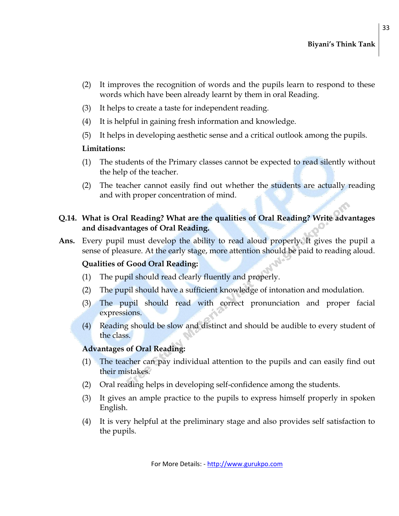- (2) It improves the recognition of words and the pupils learn to respond to these words which have been already learnt by them in oral Reading.
- (3) It helps to create a taste for independent reading.
- (4) It is helpful in gaining fresh information and knowledge.
- (5) It helps in developing aesthetic sense and a critical outlook among the pupils.

#### **Limitations:**

- (1) The students of the Primary classes cannot be expected to read silently without the help of the teacher.
- (2) The teacher cannot easily find out whether the students are actually reading and with proper concentration of mind.

#### **Q.14. What is Oral Reading? What are the qualities of Oral Reading? Write advantages and disadvantages of Oral Reading.**

**Ans.** Every pupil must develop the ability to read aloud properly. It gives the pupil a sense of pleasure. At the early stage, more attention should be paid to reading aloud.

#### **Qualities of Good Oral Reading:**

- (1) The pupil should read clearly fluently and properly.
- (2) The pupil should have a sufficient knowledge of intonation and modulation.
- (3) The pupil should read with correct pronunciation and proper facial expressions.
- (4) Reading should be slow and distinct and should be audible to every student of the class.

#### **Advantages of Oral Reading:**

- (1) The teacher can pay individual attention to the pupils and can easily find out their mistakes.
- (2) Oral reading helps in developing self-confidence among the students.
- (3) It gives an ample practice to the pupils to express himself properly in spoken English.
- (4) It is very helpful at the preliminary stage and also provides self satisfaction to the pupils.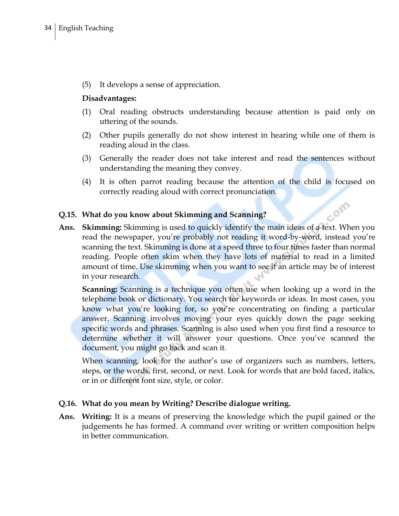(5) It develops a sense of appreciation.

#### **Disadvantages:**

- (1) Oral reading obstructs understanding because attention is paid only on uttering of the sounds.
- (2) Other pupils generally do not show interest in hearing while one of them is reading aloud in the class.
- (3) Generally the reader does not take interest and read the sentences without understanding the meaning they convey.
- (4) It is often parrot reading because the attention of the child is focused on correctly reading aloud with correct pronunciation.

#### **Q.15. What do you know about Skimming and Scanning?**

Com **Ans. Skimming:** Skimming is used to quickly identify the main ideas of a text. When you read the newspaper, you're probably not reading it word-by-word, instead you're scanning the text. Skimming is done at a speed three to four times faster than normal reading. People often skim when they have lots of material to read in a limited amount of time. Use skimming when you want to see if an article may be of interest in your research.

**Scanning:** Scanning is a technique you often use when looking up a word in the telephone book or dictionary. You search for keywords or ideas. In most cases, you know what you"re looking for, so you"re concentrating on finding a particular answer. Scanning involves moving your eyes quickly down the page seeking specific words and phrases. Scanning is also used when you first find a resource to determine whether it will answer your questions. Once you've scanned the document, you might go back and scan it.

When scanning, look for the author's use of organizers such as numbers, letters, steps, or the words, first, second, or next. Look for words that are bold faced, italics, or in or different font size, style, or color.

#### **Q.16. What do you mean by Writing? Describe dialogue writing.**

**Ans. Writing:** It is a means of preserving the knowledge which the pupil gained or the judgements he has formed. A command over writing or written composition helps in better communication.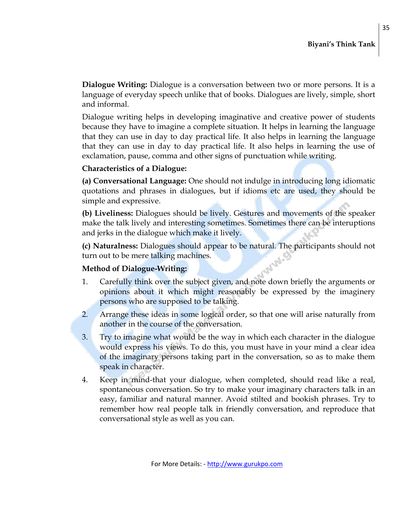**Dialogue Writing:** Dialogue is a conversation between two or more persons. It is a language of everyday speech unlike that of books. Dialogues are lively, simple, short and informal.

Dialogue writing helps in developing imaginative and creative power of students because they have to imagine a complete situation. It helps in learning the language that they can use in day to day practical life. It also helps in learning the language that they can use in day to day practical life. It also helps in learning the use of exclamation, pause, comma and other signs of punctuation while writing.

#### **Characteristics of a Dialogue:**

**(a) Conversational Language:** One should not indulge in introducing long idiomatic quotations and phrases in dialogues, but if idioms etc are used, they should be simple and expressive.

**(b) Liveliness:** Dialogues should be lively. Gestures and movements of the speaker make the talk lively and interesting sometimes. Sometimes there can be interuptions and jerks in the dialogue which make it lively.

**(c) Naturalness:** Dialogues should appear to be natural. The participants should not turn out to be mere talking machines.<br>Method of Dialogue Weither turn out to be mere talking machines.

#### **Method of Dialogue-Writing:**

- 1. Carefully think over the subject given, and note down briefly the arguments or opinions about it which might reasonably be expressed by the imaginery persons who are supposed to be talking.
- 2. Arrange these ideas in some logical order, so that one will arise naturally from another in the course of the conversation.
- 3. Try to imagine what would be the way in which each character in the dialogue would express his views. To do this, you must have in your mind a clear idea of the imaginary persons taking part in the conversation, so as to make them speak in character.
- 4. Keep in mind-that your dialogue, when completed, should read like a real, spontaneous conversation. So try to make your imaginary characters talk in an easy, familiar and natural manner. Avoid stilted and bookish phrases. Try to remember how real people talk in friendly conversation, and reproduce that conversational style as well as you can.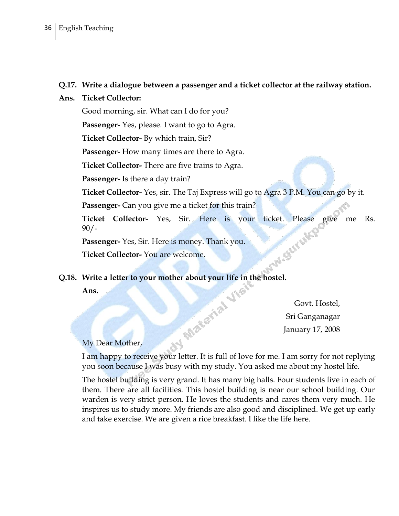#### **Q.17. Write a dialogue between a passenger and a ticket collector at the railway station.**

#### **Ans. Ticket Collector:**

Good morning, sir. What can I do for you?

**Passenger-** Yes, please. I want to go to Agra.

**Ticket Collector-** By which train, Sir?

**Passenger-** How many times are there to Agra.

**Ticket Collector-** There are five trains to Agra.

**Passenger-** Is there a day train?

**Ticket Collector-** Yes, sir. The Taj Express will go to Agra 3 P.M. You can go by it.

**Passenger-** Can you give me a ticket for this train?

**Ticket Collector-** Yes, Sir. Here is your ticket. Please give me Rs.<br>90/-<br>**Passenger-** Yes, Sir. Here is money. Thank you.<br>**Ticket Collector-** You are welcome. 90/-

**Passenger-** Yes, Sir. Here is money. Thank you.

**Ticket Collector-** You are welcome.

# **Q.18.** Write a letter to your mother about your life in the hostel.<br>Ans.<br>My Dear M

**Ans.** 

Govt. Hostel, Sri Ganganagar January 17, 2008

#### My Dear Mother,

I am happy to receive your letter. It is full of love for me. I am sorry for not replying you soon because I was busy with my study. You asked me about my hostel life.

The hostel building is very grand. It has many big halls. Four students live in each of them. There are all facilities. This hostel building is near our school building. Our warden is very strict person. He loves the students and cares them very much. He inspires us to study more. My friends are also good and disciplined. We get up early and take exercise. We are given a rice breakfast. I like the life here.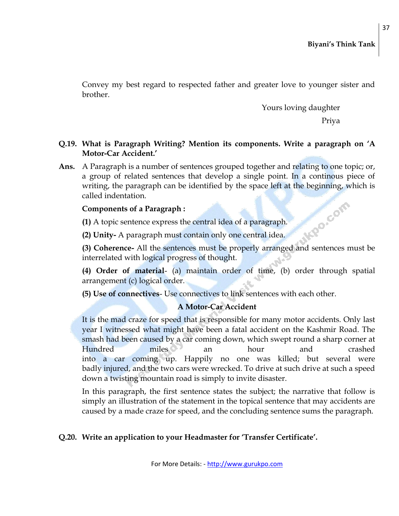Convey my best regard to respected father and greater love to younger sister and brother.

Yours loving daughter

Priya

#### **Q.19. What is Paragraph Writing? Mention its components. Write a paragraph on "A Motor-Car Accident."**

**Ans.** A Paragraph is a number of sentences grouped together and relating to one topic; or, a group of related sentences that develop a single point. In a continous piece of writing, the paragraph can be identified by the space left at the beginning, which is called indentation. IMPO.COM

#### **Components of a Paragraph :**

**(1)** A topic sentence express the central idea of a paragraph.

**(2) Unity-** A paragraph must contain only one central idea.

**(3) Coherence-** All the sentences must be properly arranged and sentences must be interrelated with logical progress of thought.

**(4) Order of material**- (a) maintain order of time, (b) order through spatial arrangement (c) logical order.

**(5) Use of connectives**- Use connectives to link sentences with each other.

#### **A Motor-Car Accident**

It is the mad craze for speed that is responsible for many motor accidents. Only last year I witnessed what might have been a fatal accident on the Kashmir Road. The smash had been caused by a car coming down, which swept round a sharp corner at Hundred miles an hour and crashed into a car coming up. Happily no one was killed; but several were badly injured, and the two cars were wrecked. To drive at such drive at such a speed down a twisting mountain road is simply to invite disaster.

In this paragraph, the first sentence states the subject; the narrative that follow is simply an illustration of the statement in the topical sentence that may accidents are caused by a made craze for speed, and the concluding sentence sums the paragraph.

#### **Q.20. Write an application to your Headmaster for "Transfer Certificate".**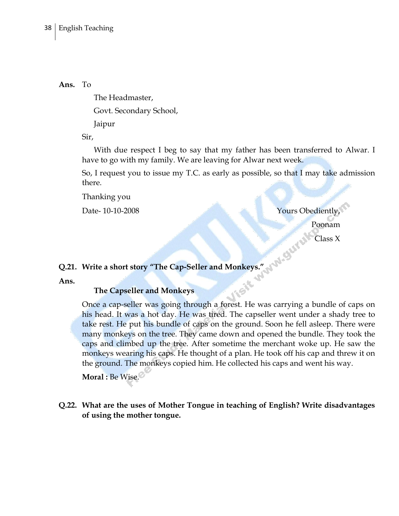**Ans.** To

The Headmaster,

Govt. Secondary School,

Jaipur

Sir,

With due respect I beg to say that my father has been transferred to Alwar. I have to go with my family. We are leaving for Alwar next week.

So, I request you to issue my T.C. as early as possible, so that I may take admission there.

Thanking you

Date- 10-10-2008 Yours Obediently, Poonam Class X

#### **Q.21. Write a short story "The Cap-Seller and Monkeys."**

**Ans.** 

#### **The Capseller and Monkeys**

Once a cap-seller was going through a forest. He was carrying a bundle of caps on his head. It was a hot day. He was tired. The capseller went under a shady tree to take rest. He put his bundle of caps on the ground. Soon he fell asleep. There were many monkeys on the tree. They came down and opened the bundle. They took the caps and climbed up the tree. After sometime the merchant woke up. He saw the monkeys wearing his caps. He thought of a plan. He took off his cap and threw it on the ground. The monkeys copied him. He collected his caps and went his way.

**Moral :** Be Wise.

**Q.22. What are the uses of Mother Tongue in teaching of English? Write disadvantages of using the mother tongue.**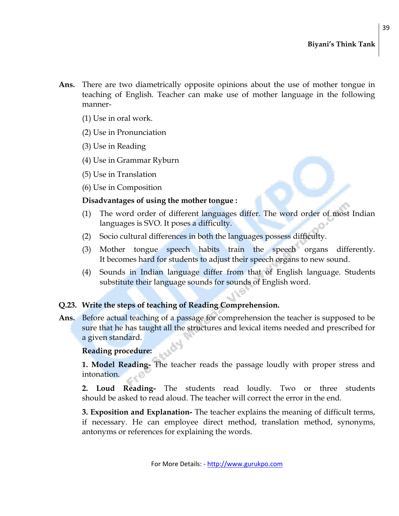- **Ans.** There are two diametrically opposite opinions about the use of mother tongue in teaching of English. Teacher can make use of mother language in the following manner-
	- (1) Use in oral work.
	- (2) Use in Pronunciation
	- (3) Use in Reading
	- (4) Use in Grammar Ryburn
	- (5) Use in Translation
	- (6) Use in Composition

#### **Disadvantages of using the mother tongue :**

- (1) The word order of different languages differ. The word order of most Indian languages is SVO. It poses a difficulty.
- (2) Socio cultural differences in both the languages possess difficulty.
- (3) Mother tongue speech habits train the speech organs differently. It becomes hard for students to adjust their speech organs to new sound.
- (4) Sounds in Indian language differ from that of English language. Students substitute their language sounds for sounds of English word.

#### **Q.23. Write the steps of teaching of Reading Comprehension.**

**Ans.** Before actual teaching of a passage for comprehension the teacher is supposed to be sure that he has taught all the structures and lexical items needed and prescribed for a given standard.

#### **Reading procedure:**

**1. Model Reading-** The teacher reads the passage loudly with proper stress and intonation.

**2. Loud Reading-** The students read loudly. Two or three students should be asked to read aloud. The teacher will correct the error in the end.

**3. Exposition and Explanation-** The teacher explains the meaning of difficult terms, if necessary. He can employee direct method, translation method, synonyms, antonyms or references for explaining the words.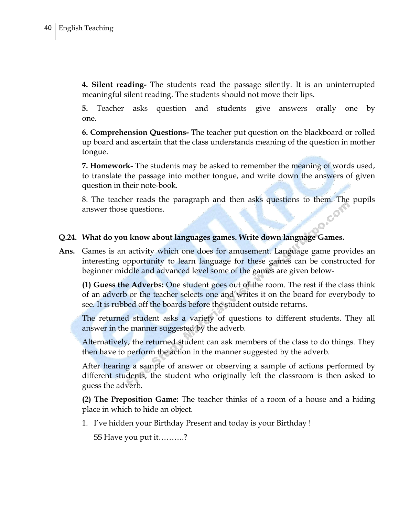**4. Silent reading-** The students read the passage silently. It is an uninterrupted meaningful silent reading. The students should not move their lips.

**5.** Teacher asks question and students give answers orally one by one.

**6. Comprehension Questions-** The teacher put question on the blackboard or rolled up board and ascertain that the class understands meaning of the question in mother tongue.

**7. Homework-** The students may be asked to remember the meaning of words used, to translate the passage into mother tongue, and write down the answers of given question in their note-book.

8. The teacher reads the paragraph and then asks questions to them. The pupils CO answer those questions.

#### **Q.24. What do you know about languages games. Write down language Games.**

**Ans.** Games is an activity which one does for amusement. Language game provides an interesting opportunity to learn language for these games can be constructed for beginner middle and advanced level some of the games are given below-

**(1) Guess the Adverbs:** One student goes out of the room. The rest if the class think of an adverb or the teacher selects one and writes it on the board for everybody to see. It is rubbed off the boards before the student outside returns.

The returned student asks a variety of questions to different students. They all answer in the manner suggested by the adverb.

Alternatively, the returned student can ask members of the class to do things. They then have to perform the action in the manner suggested by the adverb.

After hearing a sample of answer or observing a sample of actions performed by different students, the student who originally left the classroom is then asked to guess the adverb.

**(2) The Preposition Game:** The teacher thinks of a room of a house and a hiding place in which to hide an object.

1. I"ve hidden your Birthday Present and today is your Birthday !

SS Have you put it……….?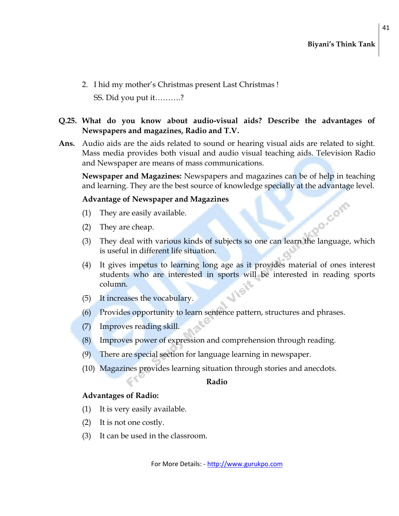2. I hid my mother"s Christmas present Last Christmas ! SS. Did you put it……….?

#### **Q.25. What do you know about audio-visual aids? Describe the advantages of Newspapers and magazines, Radio and T.V.**

**Ans.** Audio aids are the aids related to sound or hearing visual aids are related to sight. Mass media provides both visual and audio visual teaching aids. Television Radio and Newspaper are means of mass communications.

**Newspaper and Magazines:** Newspapers and magazines can be of help in teaching and learning. They are the best source of knowledge specially at the advantage level.

#### **Advantage of Newspaper and Magazines**

- (1) They are easily available.
- (2) They are cheap.
- RO. COM (3) They deal with various kinds of subjects so one can learn the language, which is useful in different life situation.
- (4) It gives impetus to learning long age as it provides material of ones interest students who are interested in sports will be interested in reading sports column.
- (5) It increases the vocabulary.
- (6) Provides opportunity to learn sentence pattern, structures and phrases.
- (7) Improves reading skill.
- (8) Improves power of expression and comprehension through reading.
- (9) There are special section for language learning in newspaper.
- (10) Magazines provides learning situation through stories and anecdots.

#### **Radio**

#### **Advantages of Radio:**

- (1) It is very easily available.
- (2) It is not one costly.
- (3) It can be used in the classroom.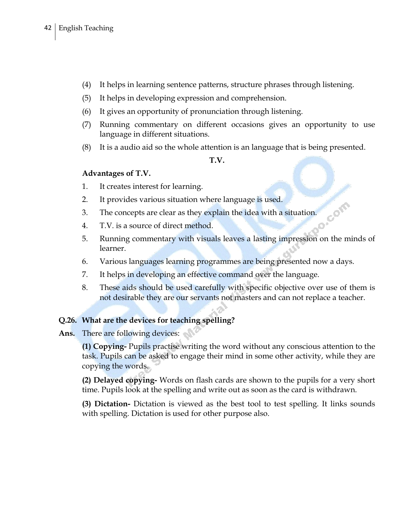- (4) It helps in learning sentence patterns, structure phrases through listening.
- (5) It helps in developing expression and comprehension.
- (6) It gives an opportunity of pronunciation through listening.
- (7) Running commentary on different occasions gives an opportunity to use language in different situations.
- (8) It is a audio aid so the whole attention is an language that is being presented.

**T.V.**

#### **Advantages of T.V.**

- 1. It creates interest for learning.
- 2. It provides various situation where language is used.
- 3. The concepts are clear as they explain the idea with a situation.
- 4. T.V. is a source of direct method.
- 5. Running commentary with visuals leaves a lasting impression on the minds of learner.

Com

- 6. Various languages learning programmes are being presented now a days.
- 7. It helps in developing an effective command over the language.
- 8. These aids should be used carefully with specific objective over use of them is not desirable they are our servants not masters and can not replace a teacher.

#### **Q.26. What are the devices for teaching spelling?**

Ans. There are following devices:

**(1) Copying-** Pupils practise writing the word without any conscious attention to the task. Pupils can be asked to engage their mind in some other activity, while they are copying the words.

**(2) Delayed copying-** Words on flash cards are shown to the pupils for a very short time. Pupils look at the spelling and write out as soon as the card is withdrawn.

**(3) Dictation-** Dictation is viewed as the best tool to test spelling. It links sounds with spelling. Dictation is used for other purpose also.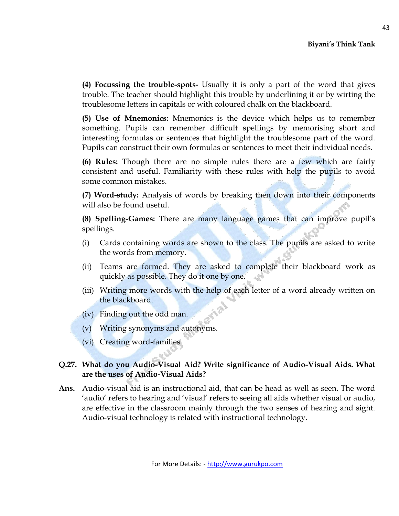**(4) Focussing the trouble-spots-** Usually it is only a part of the word that gives trouble. The teacher should highlight this trouble by underlining it or by wirting the troublesome letters in capitals or with coloured chalk on the blackboard.

**(5) Use of Mnemonics:** Mnemonics is the device which helps us to remember something. Pupils can remember difficult spellings by memorising short and interesting formulas or sentences that highlight the troublesome part of the word. Pupils can construct their own formulas or sentences to meet their individual needs.

**(6) Rules:** Though there are no simple rules there are a few which are fairly consistent and useful. Familiarity with these rules with help the pupils to avoid some common mistakes.

**(7) Word-study:** Analysis of words by breaking then down into their components will also be found useful.

**(8) Spelling-Games:** There are many language games that can improve pupil"s spellings.

- (i) Cards containing words are shown to the class. The pupils are asked to write the words from memory.
- (ii) Teams are formed. They are asked to complete their blackboard work as quickly as possible. They do it one by one.
- (iii) Writing more words with the help of each letter of a word already written on the blackboard.
- (iv) Finding out the odd man.
- (v) Writing synonyms and autonyms.
- (vi) Creating word-families.

#### **Q.27. What do you Audio-Visual Aid? Write significance of Audio-Visual Aids. What are the uses of Audio-Visual Aids?**

**Ans.** Audio-visual aid is an instructional aid, that can be head as well as seen. The word 'audio' refers to hearing and 'visual' refers to seeing all aids whether visual or audio, are effective in the classroom mainly through the two senses of hearing and sight. Audio-visual technology is related with instructional technology.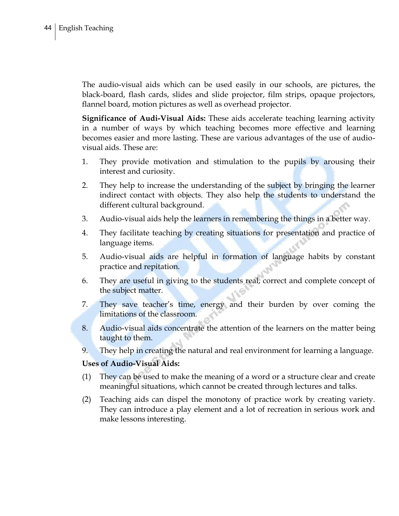The audio-visual aids which can be used easily in our schools, are pictures, the black-board, flash cards, slides and slide projector, film strips, opaque projectors, flannel board, motion pictures as well as overhead projector.

**Significance of Audi-Visual Aids:** These aids accelerate teaching learning activity in a number of ways by which teaching becomes more effective and learning becomes easier and more lasting. These are various advantages of the use of audiovisual aids. These are:

- 1. They provide motivation and stimulation to the pupils by arousing their interest and curiosity.
- 2. They help to increase the understanding of the subject by bringing the learner indirect contact with objects. They also help the students to understand the different cultural background.
- 3. Audio-visual aids help the learners in remembering the things in a better way.
- 4. They facilitate teaching by creating situations for presentation and practice of language items.
- 5. Audio-visual aids are helpful in formation of language habits by constant practice and repitation.
- 6. They are useful in giving to the students real, correct and complete concept of the subject matter.
- 7. They save teacher"s time, energy and their burden by over coming the limitations of the classroom.
- 8. Audio-visual aids concentrate the attention of the learners on the matter being taught to them.
- 9. They help in creating the natural and real environment for learning a language.

#### **Uses of Audio-Visual Aids:**

- (1) They can be used to make the meaning of a word or a structure clear and create meaningful situations, which cannot be created through lectures and talks.
- (2) Teaching aids can dispel the monotony of practice work by creating variety. They can introduce a play element and a lot of recreation in serious work and make lessons interesting.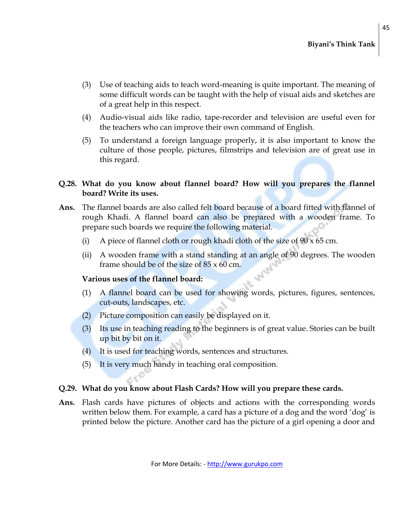- (3) Use of teaching aids to teach word-meaning is quite important. The meaning of some difficult words can be taught with the help of visual aids and sketches are of a great help in this respect.
- (4) Audio-visual aids like radio, tape-recorder and television are useful even for the teachers who can improve their own command of English.
- (5) To understand a foreign language properly, it is also important to know the culture of those people, pictures, filmstrips and television are of great use in this regard.

#### **Q.28. What do you know about flannel board? How will you prepares the flannel board? Write its uses.**

- **Ans.** The flannel boards are also called felt board because of a board fitted with flannel of rough Khadi. A flannel board can also be prepared with a wooden frame. To prepare such boards we require the following material.
	- (i) A piece of flannel cloth or rough khadi cloth of the size of 90 x 65 cm.
	- (ii) A wooden frame with a stand standing at an angle of 90 degrees. The wooden frame should be of the size of  $85 \times 60$  cm.

#### **Various uses of the flannel board:**

- (1) A flannel board can be used for showing words, pictures, figures, sentences, cut-outs, landscapes, etc.
- (2) Picture composition can easily be displayed on it.
- (3) Its use in teaching reading to the beginners is of great value. Stories can be built up bit by bit on it.
- (4) It is used for teaching words, sentences and structures.
- (5) It is very much handy in teaching oral composition.

#### **Q.29. What do you know about Flash Cards? How will you prepare these cards.**

**Ans.** Flash cards have pictures of objects and actions with the corresponding words written below them. For example, a card has a picture of a dog and the word "dog" is printed below the picture. Another card has the picture of a girl opening a door and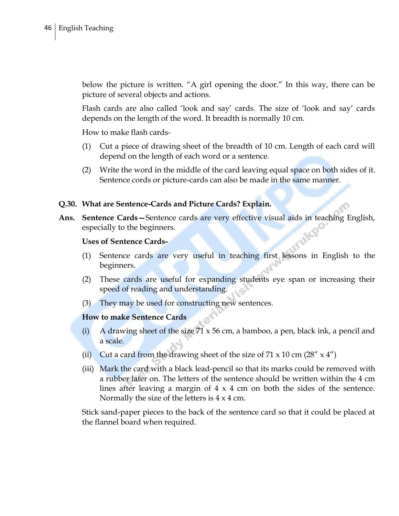below the picture is written. "A girl opening the door." In this way, there can be picture of several objects and actions.

Flash cards are also called "look and say" cards. The size of "look and say" cards depends on the length of the word. It breadth is normally 10 cm.

How to make flash cards-

- (1) Cut a piece of drawing sheet of the breadth of 10 cm. Length of each card will depend on the length of each word or a sentence.
- (2) Write the word in the middle of the card leaving equal space on both sides of it. Sentence cords or picture-cards can also be made in the same manner.

#### **Q.30. What are Sentence-Cards and Picture Cards? Explain.**

**Ans. Sentence Cards—**Sentence cards are very effective visual aids in teaching English, especially to the beginners.

#### **Uses of Sentence Cards-**

- (1) Sentence cards are very useful in teaching first lessons in English to the beginners.
- (2) These cards are useful for expanding students eye span or increasing their speed of reading and understanding.
- (3) They may be used for constructing new sentences.

#### **How to make Sentence Cards**

- (i) A drawing sheet of the size 71 x 56 cm, a bamboo, a pen, black ink, a pencil and a scale.
- (ii) Cut a card from the drawing sheet of the size of  $71 \times 10 \text{ cm } (28'' \times 4'')$
- (iii) Mark the card with a black lead-pencil so that its marks could be removed with a rubber later on. The letters of the sentence should be written within the 4 cm lines after leaving a margin of  $4 \times 4$  cm on both the sides of the sentence. Normally the size of the letters is  $4 \times 4$  cm.

Stick sand-paper pieces to the back of the sentence card so that it could be placed at the flannel board when required.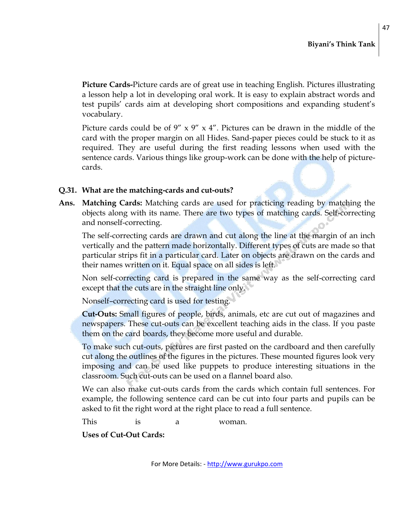**Picture Cards-**Picture cards are of great use in teaching English. Pictures illustrating a lesson help a lot in developing oral work. It is easy to explain abstract words and test pupils" cards aim at developing short compositions and expanding student"s vocabulary.

Picture cards could be of 9"  $\times$  9"  $\times$  4". Pictures can be drawn in the middle of the card with the proper margin on all Hides. Sand-paper pieces could be stuck to it as required. They are useful during the first reading lessons when used with the sentence cards. Various things like group-work can be done with the help of picturecards.

#### **Q.31. What are the matching-cards and cut-outs?**

**Ans. Matching Cards:** Matching cards are used for practicing reading by matching the objects along with its name. There are two types of matching cards. Self-correcting and nonself-correcting.

The self-correcting cards are drawn and cut along the line at the margin of an inch vertically and the pattern made horizontally. Different types of cuts are made so that particular strips fit in a particular card. Later on objects are drawn on the cards and their names written on it. Equal space on all sides is left.

Non self-correcting card is prepared in the same way as the self-correcting card except that the cuts are in the straight line only.

Nonself–correcting card is used for testing.

**Cut-Outs:** Small figures of people, birds, animals, etc are cut out of magazines and newspapers. These cut-outs can be excellent teaching aids in the class. If you paste them on the card boards, they become more useful and durable.

To make such cut-outs, pictures are first pasted on the cardboard and then carefully cut along the outlines of the figures in the pictures. These mounted figures look very imposing and can be used like puppets to produce interesting situations in the classroom. Such cut-outs can be used on a flannel board also.

We can also make cut-outs cards from the cards which contain full sentences. For example, the following sentence card can be cut into four parts and pupils can be asked to fit the right word at the right place to read a full sentence.

This is a woman.

**Uses of Cut-Out Cards:**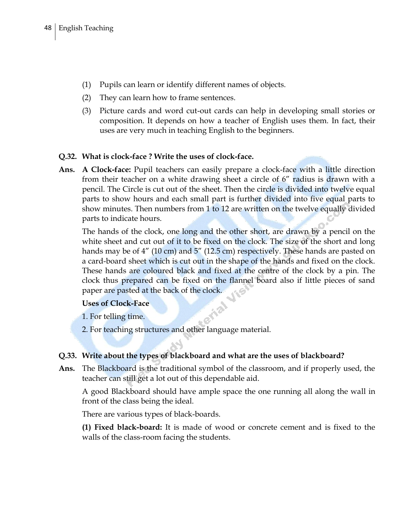- (1) Pupils can learn or identify different names of objects.
- (2) They can learn how to frame sentences.
- (3) Picture cards and word cut-out cards can help in developing small stories or composition. It depends on how a teacher of English uses them. In fact, their uses are very much in teaching English to the beginners.

#### **Q.32. What is clock-face ? Write the uses of clock-face.**

**Ans. A Clock-face:** Pupil teachers can easily prepare a clock-face with a little direction from their teacher on a white drawing sheet a circle of 6" radius is drawn with a pencil. The Circle is cut out of the sheet. Then the circle is divided into twelve equal parts to show hours and each small part is further divided into five equal parts to show minutes. Then numbers from 1 to 12 are written on the twelve equally divided parts to indicate hours.

The hands of the clock, one long and the other short, are drawn by a pencil on the white sheet and cut out of it to be fixed on the clock. The size of the short and long hands may be of 4" (10 cm) and 5" (12.5 cm) respectively. These hands are pasted on a card-board sheet which is cut out in the shape of the hands and fixed on the clock. These hands are coloured black and fixed at the centre of the clock by a pin. The clock thus prepared can be fixed on the flannel board also if little pieces of sand paper are pasted at the back of the clock.

#### **Uses of Clock-Face**

- 1. For telling time.
- 2. For teaching structures and other language material.

#### **Q.33. Write about the types of blackboard and what are the uses of blackboard?**

**Ans.** The Blackboard is the traditional symbol of the classroom, and if properly used, the teacher can still get a lot out of this dependable aid.

A good Blackboard should have ample space the one running all along the wall in front of the class being the ideal.

There are various types of black-boards.

**(1) Fixed black-board:** It is made of wood or concrete cement and is fixed to the walls of the class-room facing the students.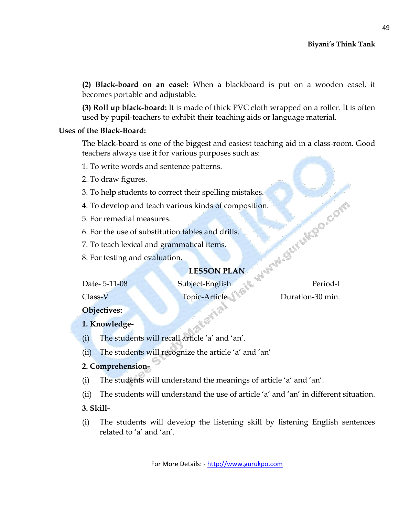**(2) Black-board on an easel:** When a blackboard is put on a wooden easel, it becomes portable and adjustable.

**(3) Roll up black-board:** It is made of thick PVC cloth wrapped on a roller. It is often used by pupil-teachers to exhibit their teaching aids or language material.

#### **Uses of the Black-Board:**

The black-board is one of the biggest and easiest teaching aid in a class-room. Good teachers always use it for various purposes such as:

1. To write words and sentence patterns.

- 2. To draw figures.
- 3. To help students to correct their spelling mistakes.
- 4. To develop and teach various kinds of composition. EXEMPLAN Subject-English Period-I
- 5. For remedial measures.
- 6. For the use of substitution tables and drills.
- 7. To teach lexical and grammatical items.
- 8. For testing and evaluation.

#### **LESSON PLAN**

Class-V Topic-Article Duration-30 min.

**Objectives:**

#### **1. Knowledge-**

- (i) The students will recall article 'a' and 'an'.
- (ii) The students will recognize the article 'a' and 'an'

#### **2. Comprehension-**

- (i) The students will understand the meanings of article "a" and "an".
- (ii) The students will understand the use of article "a" and "an" in different situation.

#### **3. Skill-**

(i) The students will develop the listening skill by listening English sentences related to 'a' and 'an'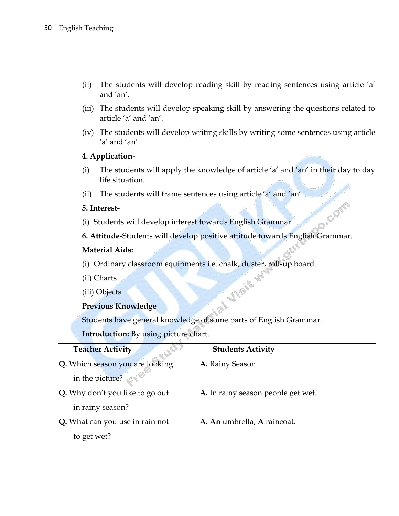- (ii) The students will develop reading skill by reading sentences using article "a" and 'an'.
- (iii) The students will develop speaking skill by answering the questions related to article 'a' and 'an'.
- (iv) The students will develop writing skills by writing some sentences using article 'a' and 'an'.

#### **4. Application-**

(i) The students will apply the knowledge of article "a" and "an" in their day to day life situation.

COMO

(ii) The students will frame sentences using article 'a' and 'an'.

#### **5. Interest-**

(i) Students will develop interest towards English Grammar.

**6. Attitude-**Students will develop positive attitude towards English Grammar.

#### **Material Aids:**

(i) Ordinary classroom equipments i.e. chalk, duster, roll-up board.<br>
(ii) Charts<br>
(iii) Objects<br>
Previous Knowled

- (ii) Charts
- (iii) Objects

#### **Previous Knowledge**

Students have general knowledge of some parts of English Grammar.

**Introduction:** By using picture chart.

| <b>Teacher Activity</b>         | <b>Students Activity</b>           |
|---------------------------------|------------------------------------|
| Q. Which season you are looking | A. Rainy Season                    |
| in the picture?                 |                                    |
| Q. Why don't you like to go out | A. In rainy season people get wet. |
| in rainy season?                |                                    |
| Q. What can you use in rain not | A. An umbrella, A raincoat.        |
| to get wet?                     |                                    |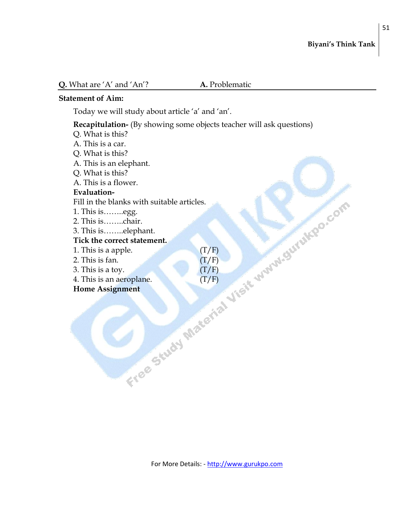#### **Q.** What are "A" and "An"? **A.** Problematic

#### **Statement of Aim:**

Today we will study about article 'a' and 'an'.

**Recapitulation-** (By showing some objects teacher will ask questions)

Q. What is this? A. This is a car. Q. What is this? A. This is an elephant. Q. What is this? A. This is a flower. **Evaluation-**Fill in the blanks with suitable articles. 1. This is……..egg. 2. This is……..chair. 3. This is……..elephant. **Tick the correct statement.** 1. This is a apple.  $(T/F)$ 2. This is fan.  $(T/F)$ 3. This is a toy.  $(T/F)$ 4. This is an aeroplane.  $(T/F)$ **Home Assignment**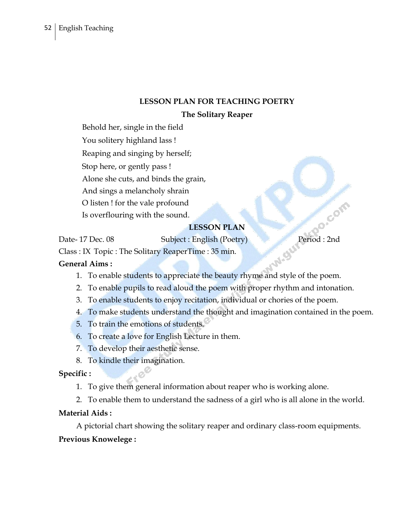#### **LESSON PLAN FOR TEACHING POETRY**

#### **The Solitary Reaper**

Behold her, single in the field

You solitery highland lass !

Reaping and singing by herself;

Stop here, or gently pass !

Alone she cuts, and binds the grain,

And sings a melancholy shrain

O listen ! for the vale profound

Is overflouring with the sound.

#### **LESSON PLAN**

LESSON PLAN<br>Date- 17 Dec. 08 Subject : English (Poetry) Period : 2nd

Class : IX Topic : The Solitary ReaperTime : 35 min.

#### **General Aims :**

- 1. To enable students to appreciate the beauty rhyme and style of the poem.
- 2. To enable pupils to read aloud the poem with proper rhythm and intonation.
- 3. To enable students to enjoy recitation, individual or chories of the poem.
- 4. To make students understand the thought and imagination contained in the poem.
- 5. To train the emotions of students.
- 6. To create a love for English Lecture in them.
- 7. To develop their aesthetic sense.
- 8. To kindle their imagination.

#### **Specific :**

- 1. To give them general information about reaper who is working alone.
- 2. To enable them to understand the sadness of a girl who is all alone in the world.

#### **Material Aids :**

A pictorial chart showing the solitary reaper and ordinary class-room equipments.

#### **Previous Knowelege :**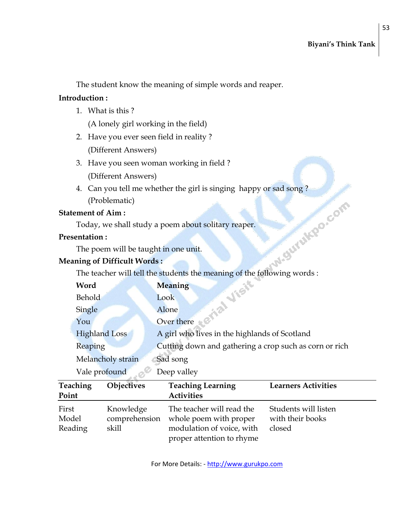The student know the meaning of simple words and reaper.

#### **Introduction :**

1. What is this ?

(A lonely girl working in the field)

- 2. Have you ever seen field in reality ? (Different Answers)
- 3. Have you seen woman working in field ? (Different Answers)
- 4. Can you tell me whether the girl is singing happy or sad song ? (Problematic) The teacher will be taught in one unit.<br>The teacher will tell the students the meaning of the following words :

#### **Statement of Aim :**

Today, we shall study a poem about solitary reaper.

#### **Presentation :**

The poem will be taught in one unit.

#### **Meaning of Difficult Words :**

| Word                 | Meaning<br>195                                         |
|----------------------|--------------------------------------------------------|
| Behold               | Look                                                   |
| Single               | Alone                                                  |
| You                  | Over there                                             |
| <b>Highland Loss</b> | A girl who lives in the highlands of Scotland          |
| Reaping              | Cutting down and gathering a crop such as corn or rich |
| Melancholy strain    | Sad song                                               |
| Vale profound        | Deep valley                                            |

| Teaching<br>Point         | Objectives                          | <b>Teaching Learning</b><br><b>Activities</b>                                                                 | <b>Learners Activities</b>                         |
|---------------------------|-------------------------------------|---------------------------------------------------------------------------------------------------------------|----------------------------------------------------|
| First<br>Model<br>Reading | Knowledge<br>comprehension<br>skill | The teacher will read the<br>whole poem with proper<br>modulation of voice, with<br>proper attention to rhyme | Students will listen<br>with their books<br>closed |

For More Details: - http://www.gurukpo.com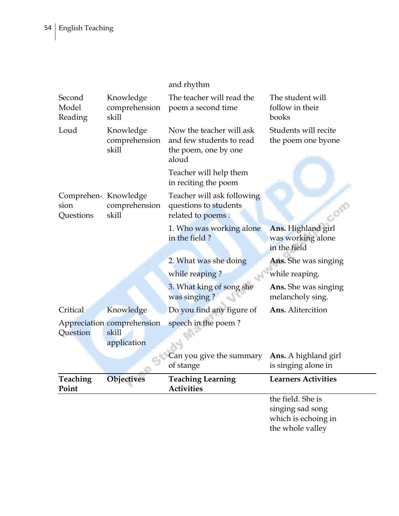#### and rhythm

| Second<br>Model<br>Reading                | Knowledge<br>comprehension<br>skill                | The teacher will read the<br>poem a second time                                       | The student will<br>follow in their<br>books                                     |
|-------------------------------------------|----------------------------------------------------|---------------------------------------------------------------------------------------|----------------------------------------------------------------------------------|
| Loud                                      | Knowledge<br>comprehension<br>skill                | Now the teacher will ask<br>and few students to read<br>the poem, one by one<br>aloud | Students will recite<br>the poem one byone                                       |
|                                           |                                                    | Teacher will help them<br>in reciting the poem                                        |                                                                                  |
| Comprehen- Knowledge<br>sion<br>Questions | comprehension<br>skill                             | Teacher will ask following<br>questions to students<br>related to poems :             |                                                                                  |
|                                           |                                                    | 1. Who was working alone<br>in the field?                                             | Ans. Highland girl<br>was working alone<br>in the field                          |
|                                           |                                                    | 2. What was she doing                                                                 | <b>Ans.</b> She was singing                                                      |
|                                           |                                                    | while reaping?                                                                        | while reaping.                                                                   |
|                                           |                                                    | 3. What king of song she<br>was singing?                                              | Ans. She was singing<br>melancholy sing.                                         |
| Critical                                  | Knowledge                                          | Do you find any figure of                                                             | Ans. Alitercition                                                                |
| Question                                  | Appreciation comprehension<br>skill<br>application | speech in the poem?                                                                   |                                                                                  |
|                                           |                                                    | Can you give the summary<br>of stange                                                 | <b>Ans.</b> A highland girl<br>is singing alone in                               |
| Teaching<br>Point                         | <b>Objectives</b>                                  | <b>Teaching Learning</b><br><b>Activities</b>                                         | <b>Learners Activities</b>                                                       |
|                                           |                                                    |                                                                                       | the field. She is<br>singing sad song<br>which is echoing in<br>the whole valley |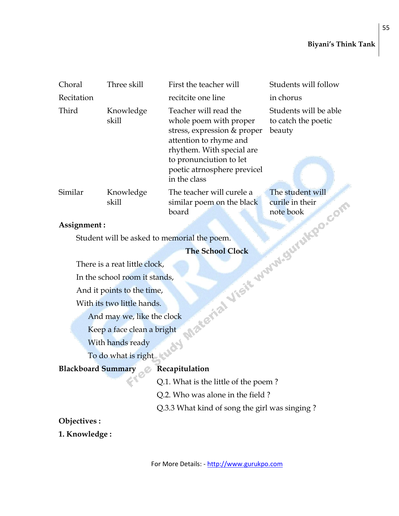#### **Biyani"s Think Tank**

| Choral     | Three skill        | First the teacher will                                                                                                                                                                                          | Students will follow                                   |
|------------|--------------------|-----------------------------------------------------------------------------------------------------------------------------------------------------------------------------------------------------------------|--------------------------------------------------------|
| Recitation |                    | recitcite one line                                                                                                                                                                                              | in chorus                                              |
| Third      | Knowledge<br>skill | Teacher will read the<br>whole poem with proper<br>stress, expression & proper<br>attention to rhyme and<br>rhythem. With special are<br>to pronunciution to let<br>poetic atrnosphere previcel<br>in the class | Students will be able<br>to catch the poetic<br>beauty |
| Similar    | Knowledge<br>skill | The teacher will curele a<br>similar poem on the black<br>board                                                                                                                                                 | The student will<br>curile in their<br>note book       |

#### **Assignment :**

Student will be asked to memorial the poem.

#### **The School Clock**

There is a reat little clock,

In the school room it stands,

And it points to the time,

With its two little hands.

And may we, like the clock

Keep a face clean a bright

With hands ready

To do what is right

**Blackboard Summary Recapitulation**

Q.1. What is the little of the poem ?

Q.2. Who was alone in the field ?

Q.3.3 What kind of song the girl was singing ?

**Objectives :**

**1. Knowledge :**